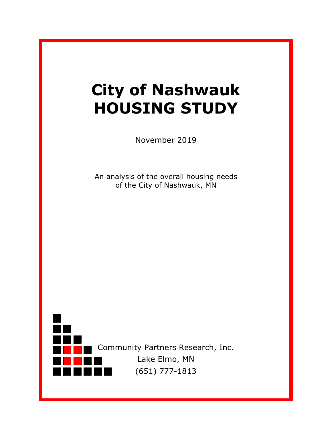# **City of Nashwauk HOUSING STUDY**

November 2019

An analysis of the overall housing needs of the City of Nashwauk, MN

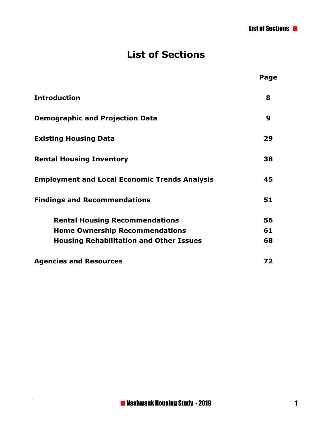## **List of Sections**

|                                                      | Page |
|------------------------------------------------------|------|
| <b>Introduction</b>                                  | 8    |
| <b>Demographic and Projection Data</b>               | 9    |
| <b>Existing Housing Data</b>                         | 29   |
| <b>Rental Housing Inventory</b>                      | 38   |
| <b>Employment and Local Economic Trends Analysis</b> | 45   |
| <b>Findings and Recommendations</b>                  | 51   |
| <b>Rental Housing Recommendations</b>                | 56   |
| <b>Home Ownership Recommendations</b>                | 61   |
| <b>Housing Rehabilitation and Other Issues</b>       | 68   |
| <b>Agencies and Resources</b>                        | 72   |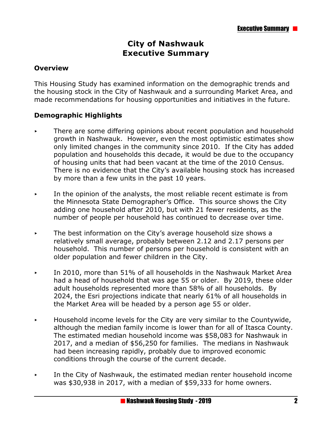### **City of Nashwauk Executive Summary**

#### **Overview**

This Housing Study has examined information on the demographic trends and the housing stock in the City of Nashwauk and a surrounding Market Area, and made recommendations for housing opportunities and initiatives in the future.

#### **Demographic Highlights**

- There are some differing opinions about recent population and household growth in Nashwauk. However, even the most optimistic estimates show only limited changes in the community since 2010. If the City has added population and households this decade, it would be due to the occupancy of housing units that had been vacant at the time of the 2010 Census. There is no evidence that the City's available housing stock has increased by more than a few units in the past 10 years.
- $\overline{\phantom{a}}$  In the opinion of the analysts, the most reliable recent estimate is from the Minnesota State Demographer's Office. This source shows the City adding one household after 2010, but with 21 fewer residents, as the number of people per household has continued to decrease over time.
- $\triangleright$  The best information on the City's average household size shows a relatively small average, probably between 2.12 and 2.17 persons per household. This number of persons per household is consistent with an older population and fewer children in the City.
- $\sim$  In 2010, more than 51% of all households in the Nashwauk Market Area had a head of household that was age 55 or older. By 2019, these older adult households represented more than 58% of all households. By 2024, the Esri projections indicate that nearly 61% of all households in the Market Area will be headed by a person age 55 or older.
- < Household income levels for the City are very similar to the Countywide, although the median family income is lower than for all of Itasca County. The estimated median household income was \$58,083 for Nashwauk in 2017, and a median of \$56,250 for families. The medians in Nashwauk had been increasing rapidly, probably due to improved economic conditions through the course of the current decade.
- $\triangleright$  In the City of Nashwauk, the estimated median renter household income was \$30,938 in 2017, with a median of \$59,333 for home owners.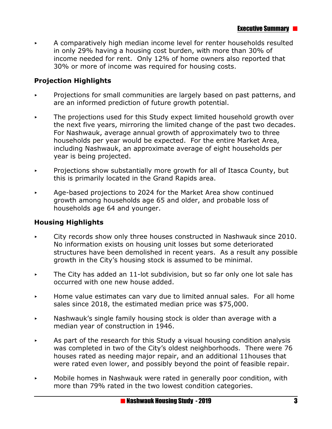$\rightarrow$  A comparatively high median income level for renter households resulted in only 29% having a housing cost burden, with more than 30% of income needed for rent. Only 12% of home owners also reported that 30% or more of income was required for housing costs.

#### **Projection Highlights**

- **EXED** Projections for small communities are largely based on past patterns, and are an informed prediction of future growth potential.
- $\triangleright$  The projections used for this Study expect limited household growth over the next five years, mirroring the limited change of the past two decades. For Nashwauk, average annual growth of approximately two to three households per year would be expected. For the entire Market Area, including Nashwauk, an approximate average of eight households per year is being projected.
- $\triangleright$  Projections show substantially more growth for all of Itasca County, but this is primarily located in the Grand Rapids area.
- $\triangleright$  Age-based projections to 2024 for the Market Area show continued growth among households age 65 and older, and probable loss of households age 64 and younger.

#### **Housing Highlights**

- < City records show only three houses constructed in Nashwauk since 2010. No information exists on housing unit losses but some deteriorated structures have been demolished in recent years. As a result any possible growth in the City's housing stock is assumed to be minimal.
- $\triangleright$  The City has added an 11-lot subdivision, but so far only one lot sale has occurred with one new house added.
- $\blacktriangleright$  Home value estimates can vary due to limited annual sales. For all home sales since 2018, the estimated median price was \$75,000.
- $\triangleright$  Nashwauk's single family housing stock is older than average with a median year of construction in 1946.
- $\triangleright$  As part of the research for this Study a visual housing condition analysis was completed in two of the City's oldest neighborhoods. There were 76 houses rated as needing major repair, and an additional 11houses that were rated even lower, and possibly beyond the point of feasible repair.
- < Mobile homes in Nashwauk were rated in generally poor condition, with more than 79% rated in the two lowest condition categories.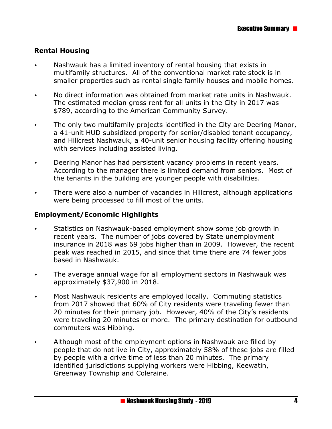#### **Rental Housing**

- < Nashwauk has a limited inventory of rental housing that exists in multifamily structures. All of the conventional market rate stock is in smaller properties such as rental single family houses and mobile homes.
- $\triangleright$  No direct information was obtained from market rate units in Nashwauk. The estimated median gross rent for all units in the City in 2017 was \$789, according to the American Community Survey.
- $\triangleright$  The only two multifamily projects identified in the City are Deering Manor, a 41-unit HUD subsidized property for senior/disabled tenant occupancy, and Hillcrest Nashwauk, a 40-unit senior housing facility offering housing with services including assisted living.
- $\triangleright$  Deering Manor has had persistent vacancy problems in recent years. According to the manager there is limited demand from seniors. Most of the tenants in the building are younger people with disabilities.
- $\overline{\phantom{a}}$  There were also a number of vacancies in Hillcrest, although applications were being processed to fill most of the units.

#### **Employment/Economic Highlights**

- < Statistics on Nashwauk-based employment show some job growth in recent years. The number of jobs covered by State unemployment insurance in 2018 was 69 jobs higher than in 2009. However, the recent peak was reached in 2015, and since that time there are 74 fewer jobs based in Nashwauk.
- $\triangleright$  The average annual wage for all employment sectors in Nashwauk was approximately \$37,900 in 2018.
- $\triangleright$  Most Nashwauk residents are employed locally. Commuting statistics from 2017 showed that 60% of City residents were traveling fewer than 20 minutes for their primary job. However, 40% of the City's residents were traveling 20 minutes or more. The primary destination for outbound commuters was Hibbing.
- $\overline{\phantom{a}}$  Although most of the employment options in Nashwauk are filled by people that do not live in City, approximately 58% of these jobs are filled by people with a drive time of less than 20 minutes. The primary identified jurisdictions supplying workers were Hibbing, Keewatin, Greenway Township and Coleraine.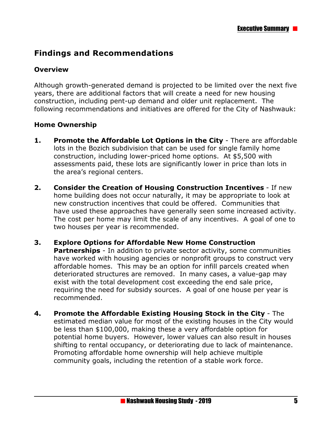## **Findings and Recommendations**

#### **Overview**

Although growth-generated demand is projected to be limited over the next five years, there are additional factors that will create a need for new housing construction, including pent-up demand and older unit replacement. The following recommendations and initiatives are offered for the City of Nashwauk:

#### **Home Ownership**

- **1.** Promote the Affordable Lot Options in the City There are affordable lots in the Bozich subdivision that can be used for single family home construction, including lower-priced home options. At \$5,500 with assessments paid, these lots are significantly lower in price than lots in the area's regional centers.
- **2. Consider the Creation of Housing Construction Incentives** If new home building does not occur naturally, it may be appropriate to look at new construction incentives that could be offered. Communities that have used these approaches have generally seen some increased activity. The cost per home may limit the scale of any incentives. A goal of one to two houses per year is recommended.
- **3. Explore Options for Affordable New Home Construction Partnerships** - In addition to private sector activity, some communities have worked with housing agencies or nonprofit groups to construct very affordable homes. This may be an option for infill parcels created when deteriorated structures are removed. In many cases, a value-gap may exist with the total development cost exceeding the end sale price, requiring the need for subsidy sources. A goal of one house per year is recommended.
- **4. Promote the Affordable Existing Housing Stock in the City** The estimated median value for most of the existing houses in the City would be less than \$100,000, making these a very affordable option for potential home buyers. However, lower values can also result in houses shifting to rental occupancy, or deteriorating due to lack of maintenance. Promoting affordable home ownership will help achieve multiple community goals, including the retention of a stable work force.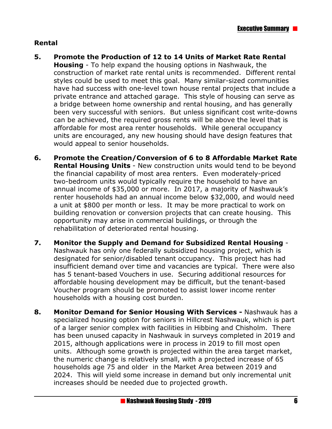#### **Rental**

- **5. Promote the Production of 12 to 14 Units of Market Rate Rental Housing** - To help expand the housing options in Nashwauk, the construction of market rate rental units is recommended. Different rental styles could be used to meet this goal. Many similar-sized communities have had success with one-level town house rental projects that include a private entrance and attached garage. This style of housing can serve as a bridge between home ownership and rental housing, and has generally been very successful with seniors. But unless significant cost write-downs can be achieved, the required gross rents will be above the level that is affordable for most area renter households. While general occupancy units are encouraged, any new housing should have design features that would appeal to senior households.
- **6. Promote the Creation/Conversion of 6 to 8 Affordable Market Rate Rental Housing Units** - New construction units would tend to be beyond the financial capability of most area renters. Even moderately-priced two-bedroom units would typically require the household to have an annual income of \$35,000 or more. In 2017, a majority of Nashwauk's renter households had an annual income below \$32,000, and would need a unit at \$800 per month or less. It may be more practical to work on building renovation or conversion projects that can create housing. This opportunity may arise in commercial buildings, or through the rehabilitation of deteriorated rental housing.
- **7. Monitor the Supply and Demand for Subsidized Rental Housing** Nashwauk has only one federally subsidized housing project, which is designated for senior/disabled tenant occupancy. This project has had insufficient demand over time and vacancies are typical. There were also has 5 tenant-based Vouchers in use. Securing additional resources for affordable housing development may be difficult, but the tenant-based Voucher program should be promoted to assist lower income renter households with a housing cost burden.
- **8. Monitor Demand for Senior Housing With Services** Nashwauk has a specialized housing option for seniors in Hillcrest Nashwauk, which is part of a larger senior complex with facilities in Hibbing and Chisholm. There has been unused capacity in Nashwauk in surveys completed in 2019 and 2015, although applications were in process in 2019 to fill most open units. Although some growth is projected within the area target market, the numeric change is relatively small, with a projected increase of 65 households age 75 and older in the Market Area between 2019 and 2024. This will yield some increase in demand but only incremental unit increases should be needed due to projected growth.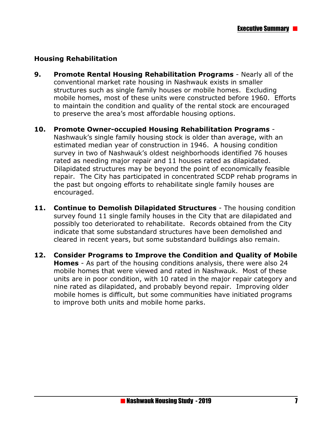#### **Housing Rehabilitation**

- **9. Promote Rental Housing Rehabilitation Programs** Nearly all of the conventional market rate housing in Nashwauk exists in smaller structures such as single family houses or mobile homes. Excluding mobile homes, most of these units were constructed before 1960. Efforts to maintain the condition and quality of the rental stock are encouraged to preserve the area's most affordable housing options.
- **10. Promote Owner-occupied Housing Rehabilitation Programs** Nashwauk's single family housing stock is older than average, with an estimated median year of construction in 1946. A housing condition survey in two of Nashwauk's oldest neighborhoods identified 76 houses rated as needing major repair and 11 houses rated as dilapidated. Dilapidated structures may be beyond the point of economically feasible repair. The City has participated in concentrated SCDP rehab programs in the past but ongoing efforts to rehabilitate single family houses are encouraged.
- **11. Continue to Demolish Dilapidated Structures** The housing condition survey found 11 single family houses in the City that are dilapidated and possibly too deteriorated to rehabilitate. Records obtained from the City indicate that some substandard structures have been demolished and cleared in recent years, but some substandard buildings also remain.
- **12. Consider Programs to Improve the Condition and Quality of Mobile Homes** - As part of the housing conditions analysis, there were also 24 mobile homes that were viewed and rated in Nashwauk. Most of these units are in poor condition, with 10 rated in the major repair category and nine rated as dilapidated, and probably beyond repair. Improving older mobile homes is difficult, but some communities have initiated programs to improve both units and mobile home parks.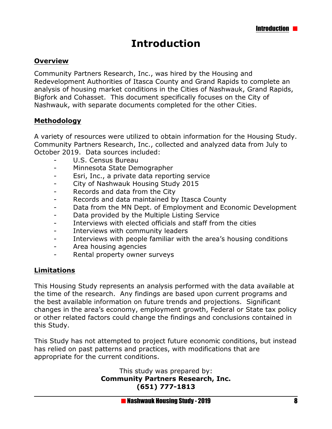## **Introduction**

#### **Overview**

Community Partners Research, Inc., was hired by the Housing and Redevelopment Authorities of Itasca County and Grand Rapids to complete an analysis of housing market conditions in the Cities of Nashwauk, Grand Rapids, Bigfork and Cohasset. This document specifically focuses on the City of Nashwauk, with separate documents completed for the other Cities.

#### **Methodology**

A variety of resources were utilized to obtain information for the Housing Study. Community Partners Research, Inc., collected and analyzed data from July to October 2019. Data sources included:

- U.S. Census Bureau
- Minnesota State Demographer
- Esri, Inc., a private data reporting service
- City of Nashwauk Housing Study 2015
- Records and data from the City
- Records and data maintained by Itasca County
- Data from the MN Dept. of Employment and Economic Development
- Data provided by the Multiple Listing Service
- Interviews with elected officials and staff from the cities
- Interviews with community leaders
- Interviews with people familiar with the area's housing conditions
- Area housing agencies
- Rental property owner surveys

#### **Limitations**

This Housing Study represents an analysis performed with the data available at the time of the research. Any findings are based upon current programs and the best available information on future trends and projections. Significant changes in the area's economy, employment growth, Federal or State tax policy or other related factors could change the findings and conclusions contained in this Study.

This Study has not attempted to project future economic conditions, but instead has relied on past patterns and practices, with modifications that are appropriate for the current conditions.

> This study was prepared by: **Community Partners Research, Inc. (651) 777-1813**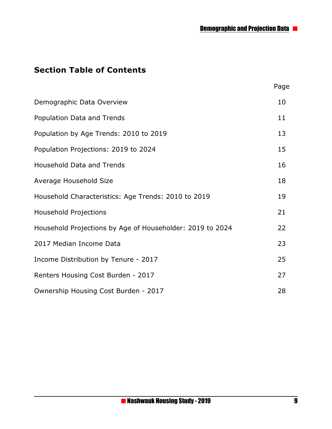## **Section Table of Contents**

|                                                           | Page |
|-----------------------------------------------------------|------|
| Demographic Data Overview                                 | 10   |
| Population Data and Trends                                | 11   |
| Population by Age Trends: 2010 to 2019                    | 13   |
| Population Projections: 2019 to 2024                      | 15   |
| <b>Household Data and Trends</b>                          | 16   |
| Average Household Size                                    | 18   |
| Household Characteristics: Age Trends: 2010 to 2019       | 19   |
| Household Projections                                     | 21   |
| Household Projections by Age of Householder: 2019 to 2024 | 22   |
| 2017 Median Income Data                                   | 23   |
| Income Distribution by Tenure - 2017                      | 25   |
| Renters Housing Cost Burden - 2017                        | 27   |
| Ownership Housing Cost Burden - 2017                      | 28   |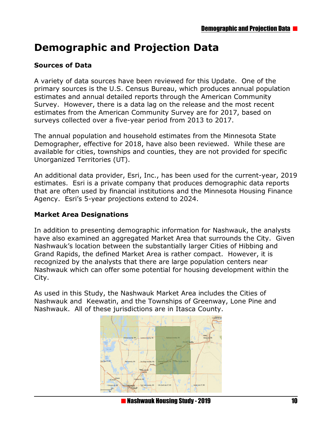## **Demographic and Projection Data**

#### **Sources of Data**

A variety of data sources have been reviewed for this Update. One of the primary sources is the U.S. Census Bureau, which produces annual population estimates and annual detailed reports through the American Community Survey. However, there is a data lag on the release and the most recent estimates from the American Community Survey are for 2017, based on surveys collected over a five-year period from 2013 to 2017.

The annual population and household estimates from the Minnesota State Demographer, effective for 2018, have also been reviewed. While these are available for cities, townships and counties, they are not provided for specific Unorganized Territories (UT).

An additional data provider, Esri, Inc., has been used for the current-year, 2019 estimates. Esri is a private company that produces demographic data reports that are often used by financial institutions and the Minnesota Housing Finance Agency. Esri's 5-year projections extend to 2024.

#### **Market Area Designations**

In addition to presenting demographic information for Nashwauk, the analysts have also examined an aggregated Market Area that surrounds the City. Given Nashwauk's location between the substantially larger Cities of Hibbing and Grand Rapids, the defined Market Area is rather compact. However, it is recognized by the analysts that there are large population centers near Nashwauk which can offer some potential for housing development within the City.

As used in this Study, the Nashwauk Market Area includes the Cities of Nashwauk and Keewatin, and the Townships of Greenway, Lone Pine and Nashwauk. All of these jurisdictions are in Itasca County.

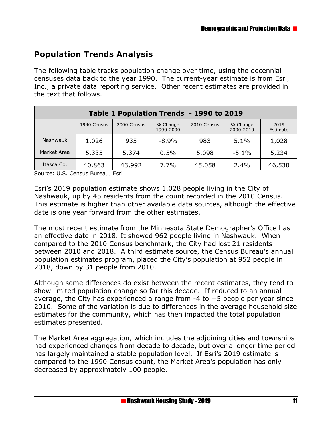## **Population Trends Analysis**

The following table tracks population change over time, using the decennial censuses data back to the year 1990. The current-year estimate is from Esri, Inc., a private data reporting service. Other recent estimates are provided in the text that follows.

| Table 1 Population Trends - 1990 to 2019                                                                        |        |        |         |        |         |        |  |
|-----------------------------------------------------------------------------------------------------------------|--------|--------|---------|--------|---------|--------|--|
| 1990 Census<br>2000 Census<br>% Change<br>2010 Census<br>% Change<br>2019<br>1990-2000<br>2000-2010<br>Estimate |        |        |         |        |         |        |  |
| Nashwauk                                                                                                        | 1,026  | 935    | $-8.9%$ | 983    | 5.1%    | 1,028  |  |
| Market Area                                                                                                     | 5,335  | 5,374  | 0.5%    | 5,098  | $-5.1%$ | 5,234  |  |
| Itasca Co.                                                                                                      | 40,863 | 43,992 | 7.7%    | 45,058 | 2.4%    | 46,530 |  |

Source: U.S. Census Bureau; Esri

Esri's 2019 population estimate shows 1,028 people living in the City of Nashwauk, up by 45 residents from the count recorded in the 2010 Census. This estimate is higher than other available data sources, although the effective date is one year forward from the other estimates.

The most recent estimate from the Minnesota State Demographer's Office has an effective date in 2018. It showed 962 people living in Nashwauk. When compared to the 2010 Census benchmark, the City had lost 21 residents between 2010 and 2018. A third estimate source, the Census Bureau's annual population estimates program, placed the City's population at 952 people in 2018, down by 31 people from 2010.

Although some differences do exist between the recent estimates, they tend to show limited population change so far this decade. If reduced to an annual average, the City has experienced a range from  $-4$  to  $+5$  people per year since 2010. Some of the variation is due to differences in the average household size estimates for the community, which has then impacted the total population estimates presented.

The Market Area aggregation, which includes the adjoining cities and townships had experienced changes from decade to decade, but over a longer time period has largely maintained a stable population level. If Esri's 2019 estimate is compared to the 1990 Census count, the Market Area's population has only decreased by approximately 100 people.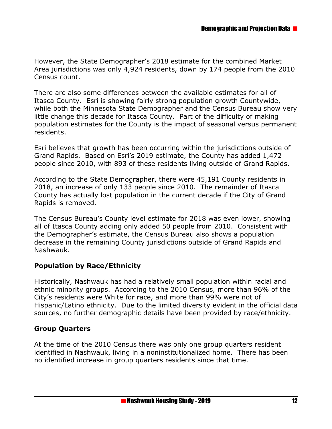However, the State Demographer's 2018 estimate for the combined Market Area jurisdictions was only 4,924 residents, down by 174 people from the 2010 Census count.

There are also some differences between the available estimates for all of Itasca County. Esri is showing fairly strong population growth Countywide, while both the Minnesota State Demographer and the Census Bureau show very little change this decade for Itasca County. Part of the difficulty of making population estimates for the County is the impact of seasonal versus permanent residents.

Esri believes that growth has been occurring within the jurisdictions outside of Grand Rapids. Based on Esri's 2019 estimate, the County has added 1,472 people since 2010, with 893 of these residents living outside of Grand Rapids.

According to the State Demographer, there were 45,191 County residents in 2018, an increase of only 133 people since 2010. The remainder of Itasca County has actually lost population in the current decade if the City of Grand Rapids is removed.

The Census Bureau's County level estimate for 2018 was even lower, showing all of Itasca County adding only added 50 people from 2010. Consistent with the Demographer's estimate, the Census Bureau also shows a population decrease in the remaining County jurisdictions outside of Grand Rapids and Nashwauk.

#### **Population by Race/Ethnicity**

Historically, Nashwauk has had a relatively small population within racial and ethnic minority groups. According to the 2010 Census, more than 96% of the City's residents were White for race, and more than 99% were not of Hispanic/Latino ethnicity. Due to the limited diversity evident in the official data sources, no further demographic details have been provided by race/ethnicity.

#### **Group Quarters**

At the time of the 2010 Census there was only one group quarters resident identified in Nashwauk, living in a noninstitutionalized home. There has been no identified increase in group quarters residents since that time.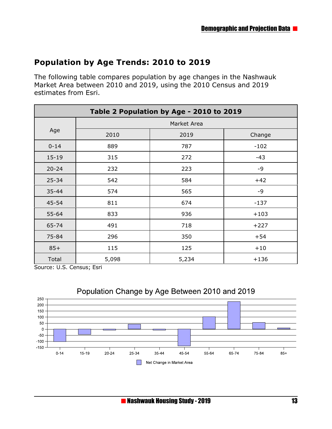## **Population by Age Trends: 2010 to 2019**

The following table compares population by age changes in the Nashwauk Market Area between 2010 and 2019, using the 2010 Census and 2019 estimates from Esri.

| Table 2 Population by Age - 2010 to 2019 |             |       |        |  |  |
|------------------------------------------|-------------|-------|--------|--|--|
|                                          | Market Area |       |        |  |  |
| Age                                      | 2010        | 2019  | Change |  |  |
| $0 - 14$                                 | 889         | 787   | $-102$ |  |  |
| $15 - 19$                                | 315         | 272   | -43    |  |  |
| $20 - 24$                                | 232         | 223   | -9     |  |  |
| $25 - 34$                                | 542         | 584   | $+42$  |  |  |
| $35 - 44$                                | 574         | 565   | -9     |  |  |
| 45-54                                    | 811         | 674   | $-137$ |  |  |
| 55-64                                    | 833         | 936   | $+103$ |  |  |
| 65-74                                    | 491         | 718   | $+227$ |  |  |
| 75-84                                    | 296         | 350   | $+54$  |  |  |
| $85+$                                    | 115         | 125   | $+10$  |  |  |
| Total                                    | 5,098       | 5,234 | $+136$ |  |  |

Source: U.S. Census; Esri

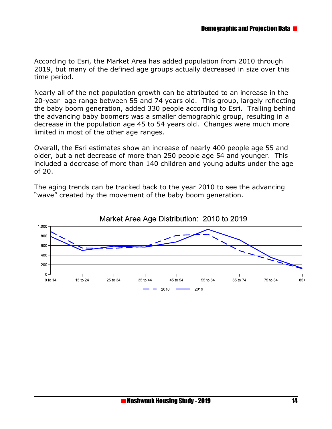According to Esri, the Market Area has added population from 2010 through 2019, but many of the defined age groups actually decreased in size over this time period.

Nearly all of the net population growth can be attributed to an increase in the 20-year age range between 55 and 74 years old. This group, largely reflecting the baby boom generation, added 330 people according to Esri. Trailing behind the advancing baby boomers was a smaller demographic group, resulting in a decrease in the population age 45 to 54 years old. Changes were much more limited in most of the other age ranges.

Overall, the Esri estimates show an increase of nearly 400 people age 55 and older, but a net decrease of more than 250 people age 54 and younger. This included a decrease of more than 140 children and young adults under the age of 20.

The aging trends can be tracked back to the year 2010 to see the advancing "wave" created by the movement of the baby boom generation.

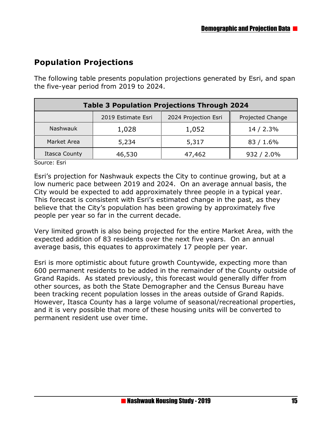## **Population Projections**

The following table presents population projections generated by Esri, and span the five-year period from 2019 to 2024.

| <b>Table 3 Population Projections Through 2024</b>             |        |        |               |  |  |  |
|----------------------------------------------------------------|--------|--------|---------------|--|--|--|
| 2024 Projection Esri<br>Projected Change<br>2019 Estimate Esri |        |        |               |  |  |  |
| Nashwauk                                                       | 1,028  | 1,052  | 14 / 2.3%     |  |  |  |
| Market Area                                                    | 5,234  | 5,317  | 83/1.6%       |  |  |  |
| Itasca County                                                  | 46,530 | 47,462 | $932 / 2.0\%$ |  |  |  |

Source: Esri

Esri's projection for Nashwauk expects the City to continue growing, but at a low numeric pace between 2019 and 2024. On an average annual basis, the City would be expected to add approximately three people in a typical year. This forecast is consistent with Esri's estimated change in the past, as they believe that the City's population has been growing by approximately five people per year so far in the current decade.

Very limited growth is also being projected for the entire Market Area, with the expected addition of 83 residents over the next five years. On an annual average basis, this equates to approximately 17 people per year.

Esri is more optimistic about future growth Countywide, expecting more than 600 permanent residents to be added in the remainder of the County outside of Grand Rapids. As stated previously, this forecast would generally differ from other sources, as both the State Demographer and the Census Bureau have been tracking recent population losses in the areas outside of Grand Rapids. However, Itasca County has a large volume of seasonal/recreational properties, and it is very possible that more of these housing units will be converted to permanent resident use over time.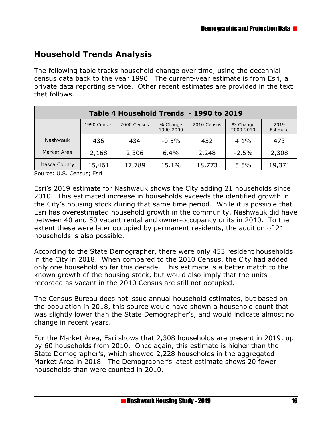## **Household Trends Analysis**

The following table tracks household change over time, using the decennial census data back to the year 1990. The current-year estimate is from Esri, a private data reporting service. Other recent estimates are provided in the text that follows.

| Table 4 Household Trends - 1990 to 2019                                                                         |        |        |         |        |         |        |  |
|-----------------------------------------------------------------------------------------------------------------|--------|--------|---------|--------|---------|--------|--|
| 2000 Census<br>2010 Census<br>1990 Census<br>% Change<br>% Change<br>2019<br>2000-2010<br>1990-2000<br>Estimate |        |        |         |        |         |        |  |
| Nashwauk                                                                                                        | 436    | 434    | $-0.5%$ | 452    | 4.1%    | 473    |  |
| Market Area                                                                                                     | 2,168  | 2,306  | 6.4%    | 2,248  | $-2.5%$ | 2,308  |  |
| Itasca County                                                                                                   | 15,461 | 17,789 | 15.1%   | 18,773 | 5.5%    | 19,371 |  |

Source: U.S. Census; Esri

Esri's 2019 estimate for Nashwauk shows the City adding 21 households since 2010. This estimated increase in households exceeds the identified growth in the City's housing stock during that same time period. While it is possible that Esri has overestimated household growth in the community, Nashwauk did have between 40 and 50 vacant rental and owner-occupancy units in 2010. To the extent these were later occupied by permanent residents, the addition of 21 households is also possible.

According to the State Demographer, there were only 453 resident households in the City in 2018. When compared to the 2010 Census, the City had added only one household so far this decade. This estimate is a better match to the known growth of the housing stock, but would also imply that the units recorded as vacant in the 2010 Census are still not occupied.

The Census Bureau does not issue annual household estimates, but based on the population in 2018, this source would have shown a household count that was slightly lower than the State Demographer's, and would indicate almost no change in recent years.

For the Market Area, Esri shows that 2,308 households are present in 2019, up by 60 households from 2010. Once again, this estimate is higher than the State Demographer's, which showed 2,228 households in the aggregated Market Area in 2018. The Demographer's latest estimate shows 20 fewer households than were counted in 2010.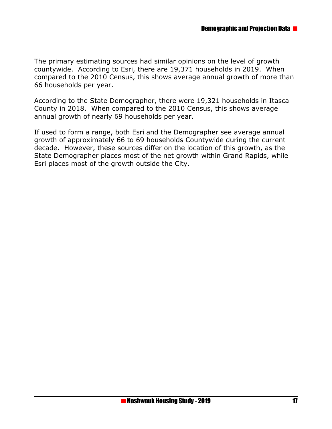The primary estimating sources had similar opinions on the level of growth countywide. According to Esri, there are 19,371 households in 2019. When compared to the 2010 Census, this shows average annual growth of more than 66 households per year.

According to the State Demographer, there were 19,321 households in Itasca County in 2018. When compared to the 2010 Census, this shows average annual growth of nearly 69 households per year.

If used to form a range, both Esri and the Demographer see average annual growth of approximately 66 to 69 households Countywide during the current decade. However, these sources differ on the location of this growth, as the State Demographer places most of the net growth within Grand Rapids, while Esri places most of the growth outside the City.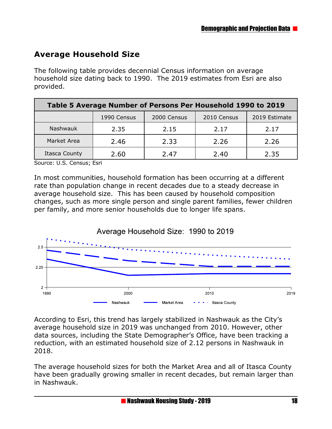## **Average Household Size**

The following table provides decennial Census information on average household size dating back to 1990. The 2019 estimates from Esri are also provided.

| Table 5 Average Number of Persons Per Household 1990 to 2019 |             |             |             |               |  |  |
|--------------------------------------------------------------|-------------|-------------|-------------|---------------|--|--|
|                                                              | 1990 Census | 2000 Census | 2010 Census | 2019 Estimate |  |  |
| Nashwauk                                                     | 2.35        | 2.15        | 2.17        | 2.17          |  |  |
| Market Area                                                  | 2.46        | 2.33        | 2.26        | 2.26          |  |  |
| Itasca County                                                | 2.60        | 2.47        | 2.40        | 2.35          |  |  |

Source: U.S. Census; Esri

In most communities, household formation has been occurring at a different rate than population change in recent decades due to a steady decrease in average household size. This has been caused by household composition changes, such as more single person and single parent families, fewer children per family, and more senior households due to longer life spans.



According to Esri, this trend has largely stabilized in Nashwauk as the City's average household size in 2019 was unchanged from 2010. However, other data sources, including the State Demographer's Office, have been tracking a reduction, with an estimated household size of 2.12 persons in Nashwauk in 2018.

The average household sizes for both the Market Area and all of Itasca County have been gradually growing smaller in recent decades, but remain larger than in Nashwauk.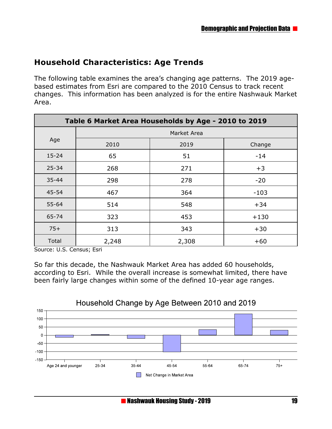## **Household Characteristics: Age Trends**

The following table examines the area's changing age patterns. The 2019 agebased estimates from Esri are compared to the 2010 Census to track recent changes. This information has been analyzed is for the entire Nashwauk Market Area.

| Table 6 Market Area Households by Age - 2010 to 2019 |             |       |        |  |
|------------------------------------------------------|-------------|-------|--------|--|
|                                                      | Market Area |       |        |  |
| Age                                                  | 2010        | 2019  | Change |  |
| $15 - 24$                                            | 65          | 51    | $-14$  |  |
| $25 - 34$                                            | 268         | 271   | $+3$   |  |
| $35 - 44$                                            | 298         | 278   | $-20$  |  |
| 45-54                                                | 467         | 364   | $-103$ |  |
| 55-64                                                | 514         | 548   | $+34$  |  |
| 65-74                                                | 323         | 453   | $+130$ |  |
| $75+$                                                | 313         | 343   | $+30$  |  |
| Total                                                | 2,248       | 2,308 | $+60$  |  |

Source: U.S. Census; Esri

So far this decade, the Nashwauk Market Area has added 60 households, according to Esri. While the overall increase is somewhat limited, there have been fairly large changes within some of the defined 10-year age ranges.

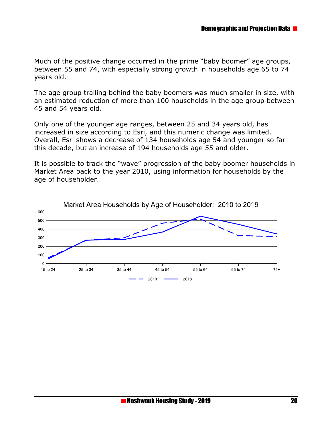Much of the positive change occurred in the prime "baby boomer" age groups, between 55 and 74, with especially strong growth in households age 65 to 74 years old.

The age group trailing behind the baby boomers was much smaller in size, with an estimated reduction of more than 100 households in the age group between 45 and 54 years old.

Only one of the younger age ranges, between 25 and 34 years old, has increased in size according to Esri, and this numeric change was limited. Overall, Esri shows a decrease of 134 households age 54 and younger so far this decade, but an increase of 194 households age 55 and older.

It is possible to track the "wave" progression of the baby boomer households in Market Area back to the year 2010, using information for households by the age of householder.

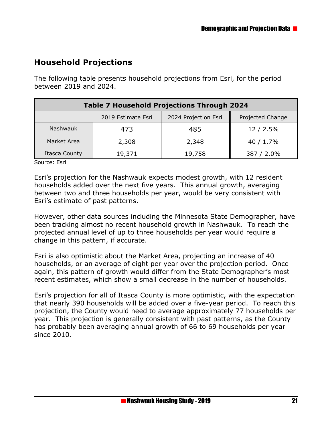## **Household Projections**

The following table presents household projections from Esri, for the period between 2019 and 2024.

| <b>Table 7 Household Projections Through 2024</b>              |        |        |            |  |  |  |
|----------------------------------------------------------------|--------|--------|------------|--|--|--|
| 2024 Projection Esri<br>Projected Change<br>2019 Estimate Esri |        |        |            |  |  |  |
| Nashwauk                                                       | 473    | 485    | $12/2.5\%$ |  |  |  |
| Market Area                                                    | 2,308  | 2,348  | 40 / 1.7%  |  |  |  |
| Itasca County                                                  | 19,371 | 19,758 | 387 / 2.0% |  |  |  |

Source: Esri

Esri's projection for the Nashwauk expects modest growth, with 12 resident households added over the next five years. This annual growth, averaging between two and three households per year, would be very consistent with Esri's estimate of past patterns.

However, other data sources including the Minnesota State Demographer, have been tracking almost no recent household growth in Nashwauk. To reach the projected annual level of up to three households per year would require a change in this pattern, if accurate.

Esri is also optimistic about the Market Area, projecting an increase of 40 households, or an average of eight per year over the projection period. Once again, this pattern of growth would differ from the State Demographer's most recent estimates, which show a small decrease in the number of households.

Esri's projection for all of Itasca County is more optimistic, with the expectation that nearly 390 households will be added over a five-year period. To reach this projection, the County would need to average approximately 77 households per year. This projection is generally consistent with past patterns, as the County has probably been averaging annual growth of 66 to 69 households per year since 2010.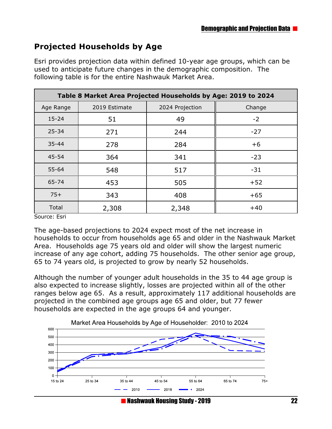## **Projected Households by Age**

Esri provides projection data within defined 10-year age groups, which can be used to anticipate future changes in the demographic composition. The following table is for the entire Nashwauk Market Area.

| Table 8 Market Area Projected Households by Age: 2019 to 2024 |               |                 |        |  |  |
|---------------------------------------------------------------|---------------|-----------------|--------|--|--|
| Age Range                                                     | 2019 Estimate | 2024 Projection | Change |  |  |
| $15 - 24$                                                     | 51            | 49              | $-2$   |  |  |
| $25 - 34$                                                     | 271           | 244             | $-27$  |  |  |
| $35 - 44$                                                     | 278           | 284             | $+6$   |  |  |
| 45-54                                                         | 364           | 341             | $-23$  |  |  |
| $55 - 64$                                                     | 548           | 517             | $-31$  |  |  |
| 65-74                                                         | 453           | 505             | $+52$  |  |  |
| $75+$                                                         | 343           | 408             | $+65$  |  |  |
| Total                                                         | 2,308         | 2,348           | $+40$  |  |  |

Source: Esri

The age-based projections to 2024 expect most of the net increase in households to occur from households age 65 and older in the Nashwauk Market Area. Households age 75 years old and older will show the largest numeric increase of any age cohort, adding 75 households. The other senior age group, 65 to 74 years old, is projected to grow by nearly 52 households.

Although the number of younger adult households in the 35 to 44 age group is also expected to increase slightly, losses are projected within all of the other ranges below age 65. As a result, approximately 117 additional households are projected in the combined age groups age 65 and older, but 77 fewer households are expected in the age groups 64 and younger.

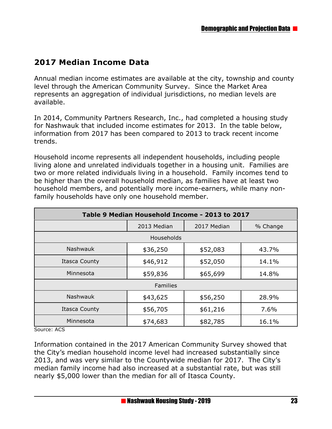## **2017 Median Income Data**

Annual median income estimates are available at the city, township and county level through the American Community Survey. Since the Market Area represents an aggregation of individual jurisdictions, no median levels are available.

In 2014, Community Partners Research, Inc., had completed a housing study for Nashwauk that included income estimates for 2013. In the table below, information from 2017 has been compared to 2013 to track recent income trends.

Household income represents all independent households, including people living alone and unrelated individuals together in a housing unit. Families are two or more related individuals living in a household. Family incomes tend to be higher than the overall household median, as families have at least two household members, and potentially more income-earners, while many nonfamily households have only one household member.

| Table 9 Median Household Income - 2013 to 2017 |                 |             |          |  |  |  |
|------------------------------------------------|-----------------|-------------|----------|--|--|--|
|                                                | 2013 Median     | 2017 Median | % Change |  |  |  |
|                                                | Households      |             |          |  |  |  |
| Nashwauk                                       | \$36,250        | \$52,083    | 43.7%    |  |  |  |
| <b>Itasca County</b>                           | \$46,912        | \$52,050    | 14.1%    |  |  |  |
| Minnesota                                      | \$59,836        | \$65,699    | 14.8%    |  |  |  |
|                                                | <b>Families</b> |             |          |  |  |  |
| Nashwauk                                       | \$43,625        | \$56,250    | 28.9%    |  |  |  |
| <b>Itasca County</b>                           | \$56,705        | \$61,216    | 7.6%     |  |  |  |
| Minnesota                                      | \$74,683        | \$82,785    | 16.1%    |  |  |  |

Source: ACS

Information contained in the 2017 American Community Survey showed that the City's median household income level had increased substantially since 2013, and was very similar to the Countywide median for 2017. The City's median family income had also increased at a substantial rate, but was still nearly \$5,000 lower than the median for all of Itasca County.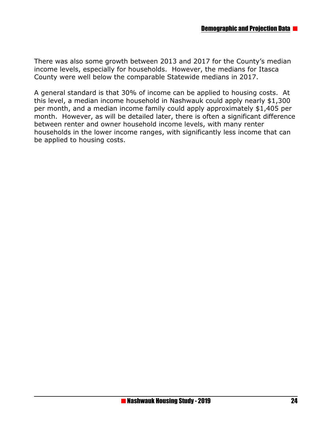There was also some growth between 2013 and 2017 for the County's median income levels, especially for households. However, the medians for Itasca County were well below the comparable Statewide medians in 2017.

A general standard is that 30% of income can be applied to housing costs. At this level, a median income household in Nashwauk could apply nearly \$1,300 per month, and a median income family could apply approximately \$1,405 per month. However, as will be detailed later, there is often a significant difference between renter and owner household income levels, with many renter households in the lower income ranges, with significantly less income that can be applied to housing costs.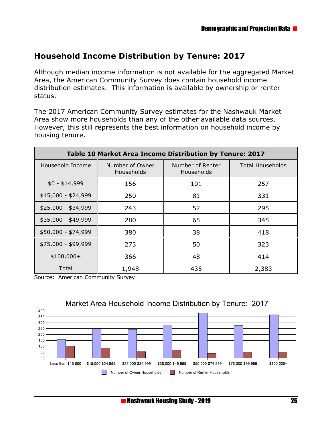## **Household Income Distribution by Tenure: 2017**

Although median income information is not available for the aggregated Market Area, the American Community Survey does contain household income distribution estimates. This information is available by ownership or renter status.

The 2017 American Community Survey estimates for the Nashwauk Market Area show more households than any of the other available data sources. However, this still represents the best information on household income by housing tenure.

| Table 10 Market Area Income Distribution by Tenure: 2017 |                               |                                |                         |  |  |
|----------------------------------------------------------|-------------------------------|--------------------------------|-------------------------|--|--|
| Household Income                                         | Number of Owner<br>Households | Number of Renter<br>Households | <b>Total Households</b> |  |  |
| $$0 - $14,999$                                           | 156                           | 101                            | 257                     |  |  |
| $$15,000 - $24,999$                                      | 250                           | 81                             | 331                     |  |  |
| $$25,000 - $34,999$                                      | 243                           | 52                             | 295                     |  |  |
| \$35,000 - \$49,999                                      | 280                           | 65                             | 345                     |  |  |
| \$50,000 - \$74,999                                      | 380                           | 38                             | 418                     |  |  |
| \$75,000 - \$99,999                                      | 273                           | 50                             | 323                     |  |  |
| $$100,000+$                                              | 366                           | 48                             | 414                     |  |  |
| Total                                                    | 1,948                         | 435                            | 2,383                   |  |  |

Source: American Community Survey



#### Market Area Household Income Distribution by Tenure: 2017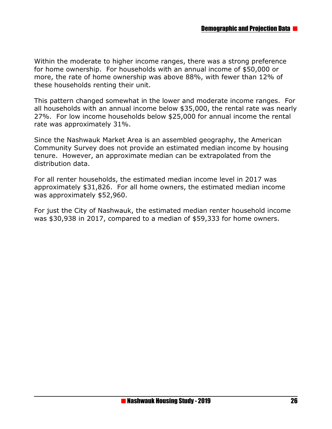Within the moderate to higher income ranges, there was a strong preference for home ownership. For households with an annual income of \$50,000 or more, the rate of home ownership was above 88%, with fewer than 12% of these households renting their unit.

This pattern changed somewhat in the lower and moderate income ranges. For all households with an annual income below \$35,000, the rental rate was nearly 27%. For low income households below \$25,000 for annual income the rental rate was approximately 31%.

Since the Nashwauk Market Area is an assembled geography, the American Community Survey does not provide an estimated median income by housing tenure. However, an approximate median can be extrapolated from the distribution data.

For all renter households, the estimated median income level in 2017 was approximately \$31,826. For all home owners, the estimated median income was approximately \$52,960.

For just the City of Nashwauk, the estimated median renter household income was \$30,938 in 2017, compared to a median of \$59,333 for home owners.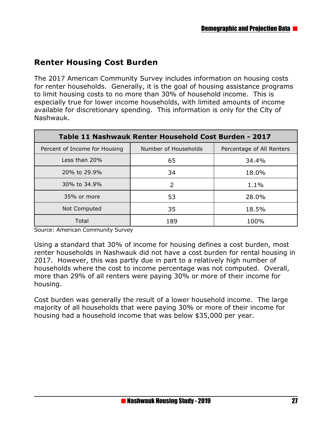## **Renter Housing Cost Burden**

The 2017 American Community Survey includes information on housing costs for renter households. Generally, it is the goal of housing assistance programs to limit housing costs to no more than 30% of household income. This is especially true for lower income households, with limited amounts of income available for discretionary spending. This information is only for the City of Nashwauk.

| Table 11 Nashwauk Renter Household Cost Burden - 2017 |                      |                           |  |
|-------------------------------------------------------|----------------------|---------------------------|--|
| Percent of Income for Housing                         | Number of Households | Percentage of All Renters |  |
| Less than 20%                                         | 65                   | 34.4%                     |  |
| 20% to 29.9%                                          | 34                   | 18.0%                     |  |
| 30% to 34.9%                                          | 2                    | 1.1%                      |  |
| 35% or more                                           | 53                   | 28.0%                     |  |
| Not Computed                                          | 35                   | 18.5%                     |  |
| Total                                                 | 189                  | 100%                      |  |

Source: American Community Survey

Using a standard that 30% of income for housing defines a cost burden, most renter households in Nashwauk did not have a cost burden for rental housing in 2017. However, this was partly due in part to a relatively high number of households where the cost to income percentage was not computed. Overall, more than 29% of all renters were paying 30% or more of their income for housing.

Cost burden was generally the result of a lower household income. The large majority of all households that were paying 30% or more of their income for housing had a household income that was below \$35,000 per year.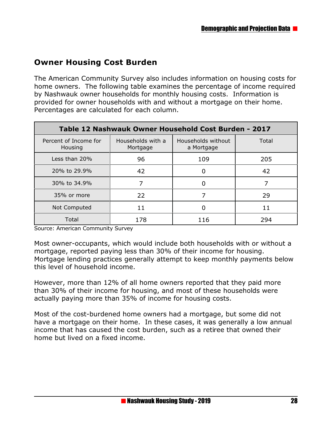## **Owner Housing Cost Burden**

The American Community Survey also includes information on housing costs for home owners. The following table examines the percentage of income required by Nashwauk owner households for monthly housing costs. Information is provided for owner households with and without a mortgage on their home. Percentages are calculated for each column.

| Table 12 Nashwauk Owner Household Cost Burden - 2017 |                               |                                  |       |  |
|------------------------------------------------------|-------------------------------|----------------------------------|-------|--|
| Percent of Income for<br>Housing                     | Households with a<br>Mortgage | Households without<br>a Mortgage | Total |  |
| Less than 20%                                        | 96                            | 109                              | 205   |  |
| 20% to 29.9%                                         | 42                            | O                                | 42    |  |
| 30% to 34.9%                                         |                               |                                  |       |  |
| 35% or more                                          | 22                            |                                  | 29    |  |
| Not Computed                                         | 11                            |                                  | 11    |  |
| Total                                                | 178                           | 116                              | 294   |  |

Source: American Community Survey

Most owner-occupants, which would include both households with or without a mortgage, reported paying less than 30% of their income for housing. Mortgage lending practices generally attempt to keep monthly payments below this level of household income.

However, more than 12% of all home owners reported that they paid more than 30% of their income for housing, and most of these households were actually paying more than 35% of income for housing costs.

Most of the cost-burdened home owners had a mortgage, but some did not have a mortgage on their home. In these cases, it was generally a low annual income that has caused the cost burden, such as a retiree that owned their home but lived on a fixed income.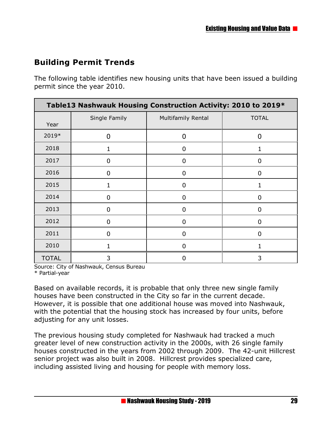## **Building Permit Trends**

The following table identifies new housing units that have been issued a building permit since the year 2010.

| Table13 Nashwauk Housing Construction Activity: 2010 to 2019* |                |                    |              |
|---------------------------------------------------------------|----------------|--------------------|--------------|
| Year                                                          | Single Family  | Multifamily Rental | <b>TOTAL</b> |
| 2019*                                                         | O              | $\Omega$           | 0            |
| 2018                                                          |                | 0                  |              |
| 2017                                                          | $\overline{0}$ | $\mathbf 0$        | 0            |
| 2016                                                          | 0              | 0                  | 0            |
| 2015                                                          | 1              | 0                  |              |
| 2014                                                          | 0              | $\mathbf 0$        | O            |
| 2013                                                          | 0              | $\overline{0}$     | $\mathbf 0$  |
| 2012                                                          | $\overline{0}$ | 0                  | 0            |
| 2011                                                          | 0              | 0                  | 0            |
| 2010                                                          |                | O                  |              |
| <b>TOTAL</b>                                                  | 3              | 0                  | 3            |

Source: City of Nashwauk, Census Bureau

\* Partial-year

Based on available records, it is probable that only three new single family houses have been constructed in the City so far in the current decade. However, it is possible that one additional house was moved into Nashwauk, with the potential that the housing stock has increased by four units, before adjusting for any unit losses.

The previous housing study completed for Nashwauk had tracked a much greater level of new construction activity in the 2000s, with 26 single family houses constructed in the years from 2002 through 2009. The 42-unit Hillcrest senior project was also built in 2008. Hillcrest provides specialized care, including assisted living and housing for people with memory loss.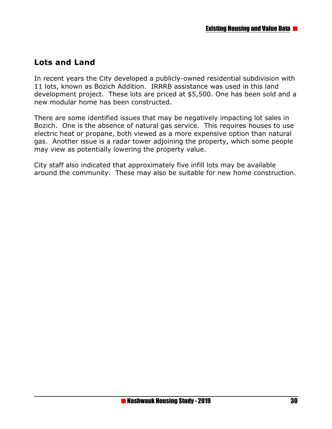## **Lots and Land**

In recent years the City developed a publicly-owned residential subdivision with 11 lots, known as Bozich Addition. IRRRB assistance was used in this land development project. These lots are priced at \$5,500. One has been sold and a new modular home has been constructed.

There are some identified issues that may be negatively impacting lot sales in Bozich. One is the absence of natural gas service. This requires houses to use electric heat or propane, both viewed as a more expensive option than natural gas. Another issue is a radar tower adjoining the property, which some people may view as potentially lowering the property value.

City staff also indicated that approximately five infill lots may be available around the community. These may also be suitable for new home construction.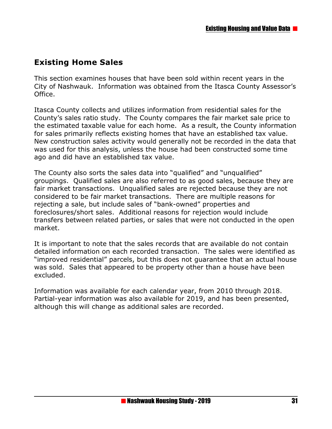## **Existing Home Sales**

This section examines houses that have been sold within recent years in the City of Nashwauk. Information was obtained from the Itasca County Assessor's Office.

Itasca County collects and utilizes information from residential sales for the County's sales ratio study. The County compares the fair market sale price to the estimated taxable value for each home. As a result, the County information for sales primarily reflects existing homes that have an established tax value. New construction sales activity would generally not be recorded in the data that was used for this analysis, unless the house had been constructed some time ago and did have an established tax value.

The County also sorts the sales data into "qualified" and "unqualified" groupings. Qualified sales are also referred to as good sales, because they are fair market transactions. Unqualified sales are rejected because they are not considered to be fair market transactions. There are multiple reasons for rejecting a sale, but include sales of "bank-owned" properties and foreclosures/short sales. Additional reasons for rejection would include transfers between related parties, or sales that were not conducted in the open market.

It is important to note that the sales records that are available do not contain detailed information on each recorded transaction. The sales were identified as "improved residential" parcels, but this does not guarantee that an actual house was sold. Sales that appeared to be property other than a house have been excluded.

Information was available for each calendar year, from 2010 through 2018. Partial-year information was also available for 2019, and has been presented, although this will change as additional sales are recorded.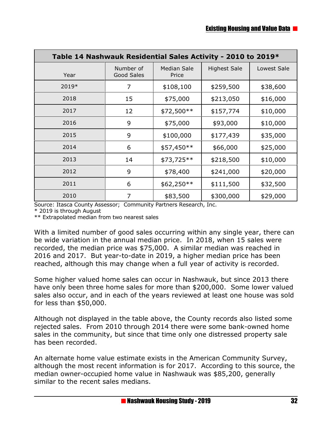| Table 14 Nashwauk Residential Sales Activity - 2010 to 2019* |                         |                             |                     |             |
|--------------------------------------------------------------|-------------------------|-----------------------------|---------------------|-------------|
| Year                                                         | Number of<br>Good Sales | <b>Median Sale</b><br>Price | <b>Highest Sale</b> | Lowest Sale |
| 2019*                                                        | 7                       | \$108,100                   | \$259,500           | \$38,600    |
| 2018                                                         | 15                      | \$75,000                    | \$213,050           | \$16,000    |
| 2017                                                         | 12                      | \$72,500**                  | \$157,774           | \$10,000    |
| 2016                                                         | 9                       | \$75,000                    | \$93,000            | \$10,000    |
| 2015                                                         | 9                       | \$100,000                   | \$177,439           | \$35,000    |
| 2014                                                         | 6                       | \$57,450**                  | \$66,000            | \$25,000    |
| 2013                                                         | 14                      | \$73,725**                  | \$218,500           | \$10,000    |
| 2012                                                         | 9                       | \$78,400                    | \$241,000           | \$20,000    |
| 2011                                                         | 6                       | $$62,250**$                 | \$111,500           | \$32,500    |
| 2010                                                         | 7                       | \$83,500                    | \$300,000           | \$29,000    |

Source: Itasca County Assessor; Community Partners Research, Inc.

\* 2019 is through August

\*\* Extrapolated median from two nearest sales

With a limited number of good sales occurring within any single year, there can be wide variation in the annual median price. In 2018, when 15 sales were recorded, the median price was \$75,000. A similar median was reached in 2016 and 2017. But year-to-date in 2019, a higher median price has been reached, although this may change when a full year of activity is recorded.

Some higher valued home sales can occur in Nashwauk, but since 2013 there have only been three home sales for more than \$200,000. Some lower valued sales also occur, and in each of the years reviewed at least one house was sold for less than \$50,000.

Although not displayed in the table above, the County records also listed some rejected sales. From 2010 through 2014 there were some bank-owned home sales in the community, but since that time only one distressed property sale has been recorded.

An alternate home value estimate exists in the American Community Survey, although the most recent information is for 2017. According to this source, the median owner-occupied home value in Nashwauk was \$85,200, generally similar to the recent sales medians.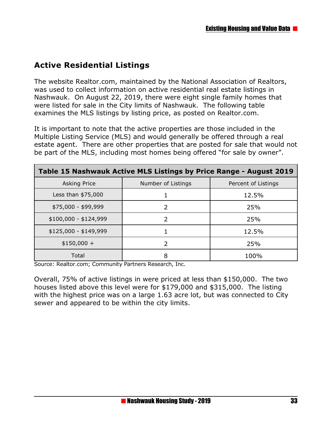## **Active Residential Listings**

The website Realtor.com, maintained by the National Association of Realtors, was used to collect information on active residential real estate listings in Nashwauk. On August 22, 2019, there were eight single family homes that were listed for sale in the City limits of Nashwauk. The following table examines the MLS listings by listing price, as posted on Realtor.com.

It is important to note that the active properties are those included in the Multiple Listing Service (MLS) and would generally be offered through a real estate agent. There are other properties that are posted for sale that would not be part of the MLS, including most homes being offered "for sale by owner".

| Table 15 Nashwauk Active MLS Listings by Price Range - August 2019 |                    |                     |  |  |
|--------------------------------------------------------------------|--------------------|---------------------|--|--|
| <b>Asking Price</b>                                                | Number of Listings | Percent of Listings |  |  |
| Less than \$75,000                                                 |                    | 12.5%               |  |  |
| \$75,000 - \$99,999                                                |                    | 25%                 |  |  |
| $$100,000 - $124,999$                                              | フ                  | 25%                 |  |  |
| $$125,000 - $149,999$                                              |                    | 12.5%               |  |  |
| $$150,000 +$                                                       | っ                  | 25%                 |  |  |
| Total                                                              | ႙                  | 100%                |  |  |

Source: Realtor.com; Community Partners Research, Inc.

Overall, 75% of active listings in were priced at less than \$150,000. The two houses listed above this level were for \$179,000 and \$315,000. The listing with the highest price was on a large 1.63 acre lot, but was connected to City sewer and appeared to be within the city limits.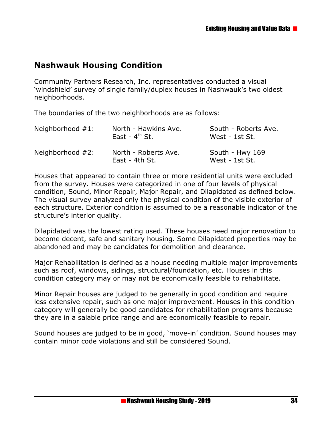### **Nashwauk Housing Condition**

Community Partners Research, Inc. representatives conducted a visual 'windshield' survey of single family/duplex houses in Nashwauk's two oldest neighborhoods.

The boundaries of the two neighborhoods are as follows:

| Neighborhood $#1$ : | North - Hawkins Ave.<br>East - $4th$ St. | South - Roberts Ave.<br>West - 1st St. |
|---------------------|------------------------------------------|----------------------------------------|
| Neighborhood #2:    | North - Roberts Ave.<br>East - 4th $St.$ | South - Hwy 169<br>West - 1st St.      |

Houses that appeared to contain three or more residential units were excluded from the survey. Houses were categorized in one of four levels of physical condition, Sound, Minor Repair, Major Repair, and Dilapidated as defined below. The visual survey analyzed only the physical condition of the visible exterior of each structure. Exterior condition is assumed to be a reasonable indicator of the structure's interior quality.

Dilapidated was the lowest rating used. These houses need major renovation to become decent, safe and sanitary housing. Some Dilapidated properties may be abandoned and may be candidates for demolition and clearance.

Major Rehabilitation is defined as a house needing multiple major improvements such as roof, windows, sidings, structural/foundation, etc. Houses in this condition category may or may not be economically feasible to rehabilitate.

Minor Repair houses are judged to be generally in good condition and require less extensive repair, such as one major improvement. Houses in this condition category will generally be good candidates for rehabilitation programs because they are in a salable price range and are economically feasible to repair.

Sound houses are judged to be in good, 'move-in' condition. Sound houses may contain minor code violations and still be considered Sound.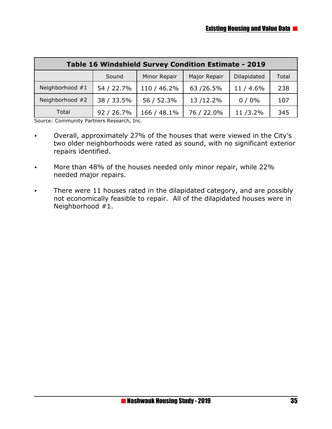| Table 16 Windshield Survey Condition Estimate - 2019 |            |              |              |             |       |
|------------------------------------------------------|------------|--------------|--------------|-------------|-------|
|                                                      | Sound      | Minor Repair | Major Repair | Dilapidated | Total |
| Neighborhood $#1$                                    | 54 / 22.7% | 110 / 46.2%  | 63/26.5%     | $11/4.6\%$  | 238   |
| Neighborhood #2                                      | 38 / 33.5% | 56 / 52.3%   | 13/12.2%     | $0/0\%$     | 107   |
| Total                                                | 92 / 26.7% | 166 / 48.1%  | 76 / 22.0%   | 11/3.2%     | 345   |

Source: Community Partners Research, Inc.

- < Overall, approximately 27% of the houses that were viewed in the City's two older neighborhoods were rated as sound, with no significant exterior repairs identified.
- $\blacktriangleright$  More than 48% of the houses needed only minor repair, while 22% needed major repairs.
- $\blacktriangleright$  There were 11 houses rated in the dilapidated category, and are possibly not economically feasible to repair. All of the dilapidated houses were in Neighborhood #1.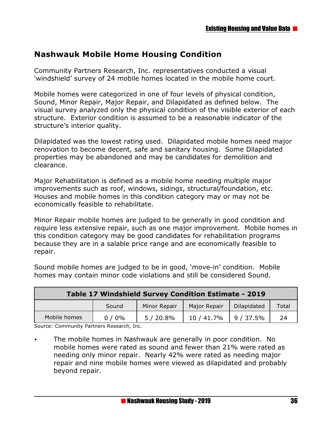# **Nashwauk Mobile Home Housing Condition**

Community Partners Research, Inc. representatives conducted a visual 'windshield' survey of 24 mobile homes located in the mobile home court.

Mobile homes were categorized in one of four levels of physical condition, Sound, Minor Repair, Major Repair, and Dilapidated as defined below. The visual survey analyzed only the physical condition of the visible exterior of each structure. Exterior condition is assumed to be a reasonable indicator of the structure's interior quality.

Dilapidated was the lowest rating used. Dilapidated mobile homes need major renovation to become decent, safe and sanitary housing. Some Dilapidated properties may be abandoned and may be candidates for demolition and clearance.

Major Rehabilitation is defined as a mobile home needing multiple major improvements such as roof, windows, sidings, structural/foundation, etc. Houses and mobile homes in this condition category may or may not be economically feasible to rehabilitate.

Minor Repair mobile homes are judged to be generally in good condition and require less extensive repair, such as one major improvement. Mobile homes in this condition category may be good candidates for rehabilitation programs because they are in a salable price range and are economically feasible to repair.

Sound mobile homes are judged to be in good, 'move-in' condition. Mobile homes may contain minor code violations and still be considered Sound.

| Table 17 Windshield Survey Condition Estimate - 2019 |         |              |              |             |       |  |
|------------------------------------------------------|---------|--------------|--------------|-------------|-------|--|
|                                                      | Sound   | Minor Repair | Major Repair | Dilapidated | Total |  |
| Mobile homes                                         | $0/0\%$ | 5/20.8%      | 10 / 41.7%   | 9/37.5%     | 24    |  |

Source: Community Partners Research, Inc.

The mobile homes in Nashwauk are generally in poor condition. No mobile homes were rated as sound and fewer than 21% were rated as needing only minor repair. Nearly 42% were rated as needing major repair and nine mobile homes were viewed as dilapidated and probably beyond repair.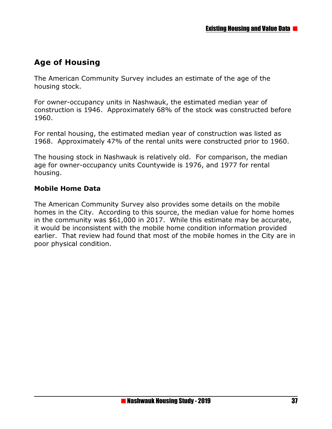# **Age of Housing**

The American Community Survey includes an estimate of the age of the housing stock.

For owner-occupancy units in Nashwauk, the estimated median year of construction is 1946. Approximately 68% of the stock was constructed before 1960.

For rental housing, the estimated median year of construction was listed as 1968. Approximately 47% of the rental units were constructed prior to 1960.

The housing stock in Nashwauk is relatively old. For comparison, the median age for owner-occupancy units Countywide is 1976, and 1977 for rental housing.

#### **Mobile Home Data**

The American Community Survey also provides some details on the mobile homes in the City. According to this source, the median value for home homes in the community was \$61,000 in 2017. While this estimate may be accurate, it would be inconsistent with the mobile home condition information provided earlier. That review had found that most of the mobile homes in the City are in poor physical condition.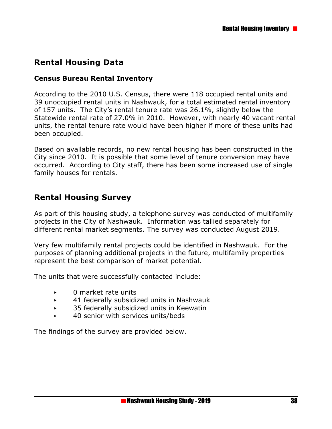# **Rental Housing Data**

#### **Census Bureau Rental Inventory**

According to the 2010 U.S. Census, there were 118 occupied rental units and 39 unoccupied rental units in Nashwauk, for a total estimated rental inventory of 157 units. The City's rental tenure rate was 26.1%, slightly below the Statewide rental rate of 27.0% in 2010. However, with nearly 40 vacant rental units, the rental tenure rate would have been higher if more of these units had been occupied.

Based on available records, no new rental housing has been constructed in the City since 2010. It is possible that some level of tenure conversion may have occurred. According to City staff, there has been some increased use of single family houses for rentals.

# **Rental Housing Survey**

As part of this housing study, a telephone survey was conducted of multifamily projects in the City of Nashwauk. Information was tallied separately for different rental market segments. The survey was conducted August 2019.

Very few multifamily rental projects could be identified in Nashwauk. For the purposes of planning additional projects in the future, multifamily properties represent the best comparison of market potential.

The units that were successfully contacted include:

- **D** market rate units
- $\rightarrow$  41 federally subsidized units in Nashwauk
- 35 federally subsidized units in Keewatin
- 40 senior with services units/beds

The findings of the survey are provided below.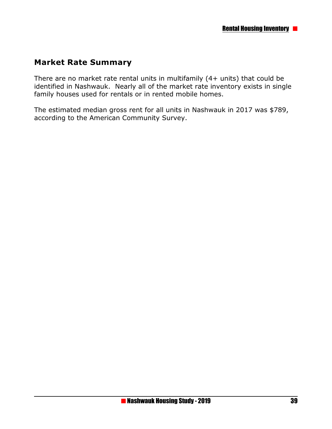## **Market Rate Summary**

There are no market rate rental units in multifamily (4+ units) that could be identified in Nashwauk. Nearly all of the market rate inventory exists in single family houses used for rentals or in rented mobile homes.

The estimated median gross rent for all units in Nashwauk in 2017 was \$789, according to the American Community Survey.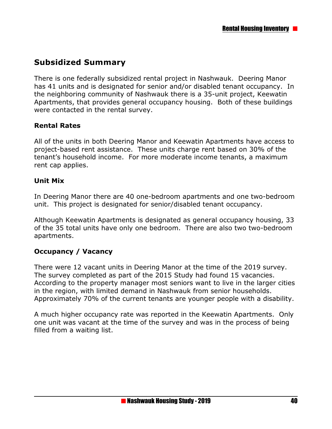# **Subsidized Summary**

There is one federally subsidized rental project in Nashwauk. Deering Manor has 41 units and is designated for senior and/or disabled tenant occupancy. In the neighboring community of Nashwauk there is a 35-unit project, Keewatin Apartments, that provides general occupancy housing. Both of these buildings were contacted in the rental survey.

#### **Rental Rates**

All of the units in both Deering Manor and Keewatin Apartments have access to project-based rent assistance. These units charge rent based on 30% of the tenant's household income. For more moderate income tenants, a maximum rent cap applies.

#### **Unit Mix**

In Deering Manor there are 40 one-bedroom apartments and one two-bedroom unit. This project is designated for senior/disabled tenant occupancy.

Although Keewatin Apartments is designated as general occupancy housing, 33 of the 35 total units have only one bedroom. There are also two two-bedroom apartments.

#### **Occupancy / Vacancy**

There were 12 vacant units in Deering Manor at the time of the 2019 survey. The survey completed as part of the 2015 Study had found 15 vacancies. According to the property manager most seniors want to live in the larger cities in the region, with limited demand in Nashwauk from senior households. Approximately 70% of the current tenants are younger people with a disability.

A much higher occupancy rate was reported in the Keewatin Apartments. Only one unit was vacant at the time of the survey and was in the process of being filled from a waiting list.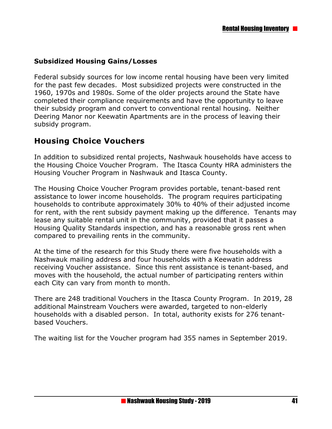#### **Subsidized Housing Gains/Losses**

Federal subsidy sources for low income rental housing have been very limited for the past few decades. Most subsidized projects were constructed in the 1960, 1970s and 1980s. Some of the older projects around the State have completed their compliance requirements and have the opportunity to leave their subsidy program and convert to conventional rental housing. Neither Deering Manor nor Keewatin Apartments are in the process of leaving their subsidy program.

# **Housing Choice Vouchers**

In addition to subsidized rental projects, Nashwauk households have access to the Housing Choice Voucher Program. The Itasca County HRA administers the Housing Voucher Program in Nashwauk and Itasca County.

The Housing Choice Voucher Program provides portable, tenant-based rent assistance to lower income households. The program requires participating households to contribute approximately 30% to 40% of their adjusted income for rent, with the rent subsidy payment making up the difference. Tenants may lease any suitable rental unit in the community, provided that it passes a Housing Quality Standards inspection, and has a reasonable gross rent when compared to prevailing rents in the community.

At the time of the research for this Study there were five households with a Nashwauk mailing address and four households with a Keewatin address receiving Voucher assistance. Since this rent assistance is tenant-based, and moves with the household, the actual number of participating renters within each City can vary from month to month.

There are 248 traditional Vouchers in the Itasca County Program. In 2019, 28 additional Mainstream Vouchers were awarded, targeted to non-elderly households with a disabled person. In total, authority exists for 276 tenantbased Vouchers.

The waiting list for the Voucher program had 355 names in September 2019.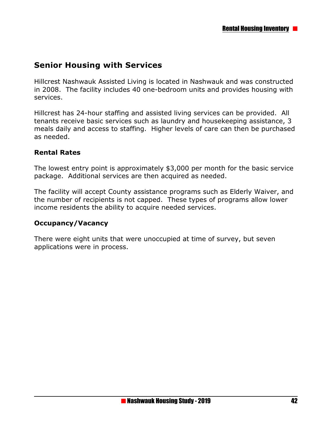# **Senior Housing with Services**

Hillcrest Nashwauk Assisted Living is located in Nashwauk and was constructed in 2008. The facility includes 40 one-bedroom units and provides housing with services.

Hillcrest has 24-hour staffing and assisted living services can be provided. All tenants receive basic services such as laundry and housekeeping assistance, 3 meals daily and access to staffing. Higher levels of care can then be purchased as needed.

#### **Rental Rates**

The lowest entry point is approximately \$3,000 per month for the basic service package. Additional services are then acquired as needed.

The facility will accept County assistance programs such as Elderly Waiver, and the number of recipients is not capped. These types of programs allow lower income residents the ability to acquire needed services.

#### **Occupancy/Vacancy**

There were eight units that were unoccupied at time of survey, but seven applications were in process.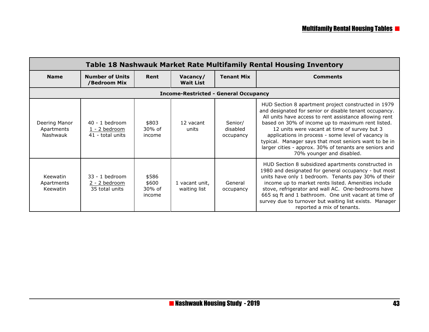| Table 18 Nashwauk Market Rate Multifamily Rental Housing Inventory |                                                       |                                    |                                              |                                  |                                                                                                                                                                                                                                                                                                                                                                                                                                                                                    |  |
|--------------------------------------------------------------------|-------------------------------------------------------|------------------------------------|----------------------------------------------|----------------------------------|------------------------------------------------------------------------------------------------------------------------------------------------------------------------------------------------------------------------------------------------------------------------------------------------------------------------------------------------------------------------------------------------------------------------------------------------------------------------------------|--|
| <b>Name</b>                                                        | <b>Number of Units</b><br>/Bedroom Mix                | Rent                               | Vacancy/<br><b>Wait List</b>                 | <b>Tenant Mix</b>                | <b>Comments</b>                                                                                                                                                                                                                                                                                                                                                                                                                                                                    |  |
|                                                                    |                                                       |                                    | <b>Income-Restricted - General Occupancy</b> |                                  |                                                                                                                                                                                                                                                                                                                                                                                                                                                                                    |  |
| Deering Manor<br>Apartments<br>Nashwauk                            | $40 - 1$ bedroom<br>1 - 2 bedroom<br>41 - total units | \$803<br>30% of<br>income          | 12 vacant<br>units                           | Senior/<br>disabled<br>occupancy | HUD Section 8 apartment project constructed in 1979<br>and designated for senior or disable tenant occupancy.<br>All units have access to rent assistance allowing rent<br>based on 30% of income up to maximum rent listed.<br>12 units were vacant at time of survey but 3<br>applications in process - some level of vacancy is<br>typical. Manager says that most seniors want to be in<br>larger cities - approx. 30% of tenants are seniors and<br>70% younger and disabled. |  |
| Keewatin<br>Apartments<br>Keewatin                                 | $33 - 1$ bedroom<br>2 - 2 bedroom<br>35 total units   | \$586<br>\$600<br>30% of<br>income | 1 vacant unit,<br>waiting list               | General<br>occupancy             | HUD Section 8 subsidized apartments constructed in<br>1980 and designated for general occupancy - but most<br>units have only 1 bedroom. Tenants pay 30% of their<br>income up to market rents listed. Amenities include<br>stove, refrigerator and wall AC. One-bedrooms have<br>665 sq ft and 1 bathroom. One unit vacant at time of<br>survey due to turnover but waiting list exists. Manager<br>reported a mix of tenants.                                                    |  |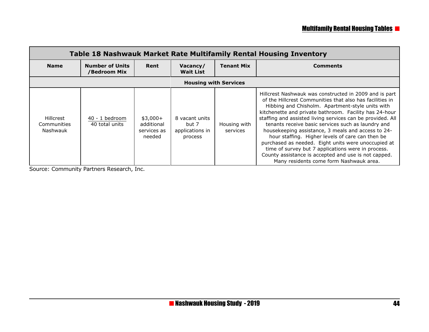| Table 18 Nashwauk Market Rate Multifamily Rental Housing Inventory |                                        |                                                  |                                                       |                          |                                                                                                                                                                                                                                                                                                                                                                                                                                                                                                                                                                                                                                                                                |  |  |
|--------------------------------------------------------------------|----------------------------------------|--------------------------------------------------|-------------------------------------------------------|--------------------------|--------------------------------------------------------------------------------------------------------------------------------------------------------------------------------------------------------------------------------------------------------------------------------------------------------------------------------------------------------------------------------------------------------------------------------------------------------------------------------------------------------------------------------------------------------------------------------------------------------------------------------------------------------------------------------|--|--|
| <b>Name</b>                                                        | <b>Number of Units</b><br>/Bedroom Mix | Rent                                             | Vacancy/<br><b>Wait List</b>                          | <b>Tenant Mix</b>        | <b>Comments</b>                                                                                                                                                                                                                                                                                                                                                                                                                                                                                                                                                                                                                                                                |  |  |
|                                                                    | <b>Housing with Services</b>           |                                                  |                                                       |                          |                                                                                                                                                                                                                                                                                                                                                                                                                                                                                                                                                                                                                                                                                |  |  |
| <b>Hillcrest</b><br>Communities<br>Nashwauk                        | 40 - 1 bedroom<br>40 total units       | $$3,000+$<br>additional<br>services as<br>needed | 8 vacant units<br>but 7<br>applications in<br>process | Housing with<br>services | Hillcrest Nashwauk was constructed in 2009 and is part<br>of the Hillcrest Communities that also has facilities in<br>Hibbing and Chisholm. Apartment-style units with<br>kitchenette and private bathroom. Facility has 24-hour<br>staffing and assisted living services can be provided. All<br>tenants receive basic services such as laundry and<br>housekeeping assistance, 3 meals and access to 24-<br>hour staffing. Higher levels of care can then be<br>purchased as needed. Eight units were unoccupied at<br>time of survey but 7 applications were in process.<br>County assistance is accepted and use is not capped.<br>Many residents come form Nashwauk area. |  |  |

Source: Community Partners Research, Inc.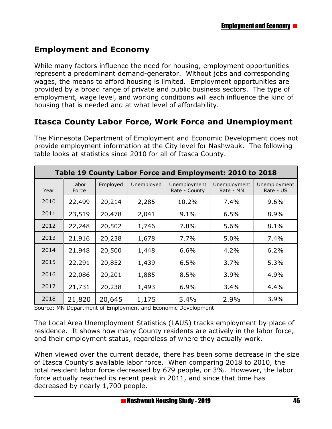# **Employment and Economy**

While many factors influence the need for housing, employment opportunities represent a predominant demand-generator. Without jobs and corresponding wages, the means to afford housing is limited. Employment opportunities are provided by a broad range of private and public business sectors. The type of employment, wage level, and working conditions will each influence the kind of housing that is needed and at what level of affordability.

# **Itasca County Labor Force, Work Force and Unemployment**

The Minnesota Department of Employment and Economic Development does not provide employment information at the City level for Nashwauk. The following table looks at statistics since 2010 for all of Itasca County.

| Table 19 County Labor Force and Employment: 2010 to 2018 |                |          |            |                               |                           |                           |  |
|----------------------------------------------------------|----------------|----------|------------|-------------------------------|---------------------------|---------------------------|--|
| Year                                                     | Labor<br>Force | Employed | Unemployed | Unemployment<br>Rate - County | Unemployment<br>Rate - MN | Unemployment<br>Rate - US |  |
| 2010                                                     | 22,499         | 20,214   | 2,285      | 10.2%                         | 7.4%                      | 9.6%                      |  |
| 2011                                                     | 23,519         | 20,478   | 2,041      | 9.1%                          | 6.5%                      | 8.9%                      |  |
| 2012                                                     | 22,248         | 20,502   | 1,746      | 7.8%                          | 5.6%                      | 8.1%                      |  |
| 2013                                                     | 21,916         | 20,238   | 1,678      | 7.7%                          | 5.0%                      | 7.4%                      |  |
| 2014                                                     | 21,948         | 20,500   | 1,448      | 6.6%                          | 4.2%                      | 6.2%                      |  |
| 2015                                                     | 22,291         | 20,852   | 1,439      | 6.5%                          | 3.7%                      | 5.3%                      |  |
| 2016                                                     | 22,086         | 20,201   | 1,885      | 8.5%                          | 3.9%                      | 4.9%                      |  |
| 2017                                                     | 21,731         | 20,238   | 1,493      | 6.9%                          | 3.4%                      | 4.4%                      |  |
| 2018                                                     | 21,820         | 20,645   | 1,175      | 5.4%                          | 2.9%                      | 3.9%                      |  |

Source: MN Department of Employment and Economic Development

The Local Area Unemployment Statistics (LAUS) tracks employment by place of residence. It shows how many County residents are actively in the labor force, and their employment status, regardless of where they actually work.

When viewed over the current decade, there has been some decrease in the size of Itasca County's available labor force. When comparing 2018 to 2010, the total resident labor force decreased by 679 people, or 3%. However, the labor force actually reached its recent peak in 2011, and since that time has decreased by nearly 1,700 people.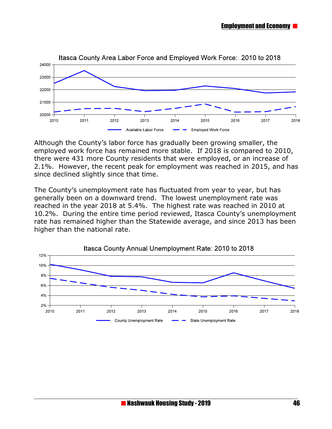

Although the County's labor force has gradually been growing smaller, the employed work force has remained more stable. If 2018 is compared to 2010, there were 431 more County residents that were employed, or an increase of 2.1%. However, the recent peak for employment was reached in 2015, and has since declined slightly since that time.

The County's unemployment rate has fluctuated from year to year, but has generally been on a downward trend. The lowest unemployment rate was reached in the year 2018 at 5.4%. The highest rate was reached in 2010 at 10.2%. During the entire time period reviewed, Itasca County's unemployment rate has remained higher than the Statewide average, and since 2013 has been higher than the national rate.



Itasca County Area Labor Force and Employed Work Force: 2010 to 2018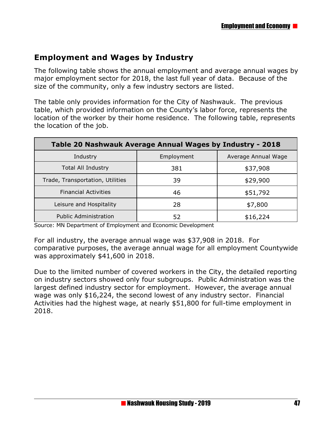# **Employment and Wages by Industry**

The following table shows the annual employment and average annual wages by major employment sector for 2018, the last full year of data. Because of the size of the community, only a few industry sectors are listed.

The table only provides information for the City of Nashwauk. The previous table, which provided information on the County's labor force, represents the location of the worker by their home residence. The following table, represents the location of the job.

| Table 20 Nashwauk Average Annual Wages by Industry - 2018 |            |                     |  |  |  |
|-----------------------------------------------------------|------------|---------------------|--|--|--|
| Industry                                                  | Employment | Average Annual Wage |  |  |  |
| <b>Total All Industry</b>                                 | 381        | \$37,908            |  |  |  |
| Trade, Transportation, Utilities                          | 39         | \$29,900            |  |  |  |
| <b>Financial Activities</b>                               | 46         | \$51,792            |  |  |  |
| Leisure and Hospitality                                   | 28         | \$7,800             |  |  |  |
| <b>Public Administration</b>                              | 52         | \$16,224            |  |  |  |

Source: MN Department of Employment and Economic Development

For all industry, the average annual wage was \$37,908 in 2018. For comparative purposes, the average annual wage for all employment Countywide was approximately \$41,600 in 2018.

Due to the limited number of covered workers in the City, the detailed reporting on industry sectors showed only four subgroups. Public Administration was the largest defined industry sector for employment. However, the average annual wage was only \$16,224, the second lowest of any industry sector. Financial Activities had the highest wage, at nearly \$51,800 for full-time employment in 2018.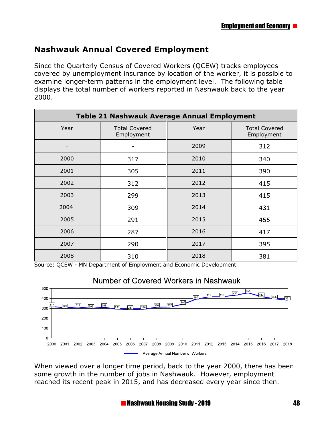# **Nashwauk Annual Covered Employment**

Since the Quarterly Census of Covered Workers (QCEW) tracks employees covered by unemployment insurance by location of the worker, it is possible to examine longer-term patterns in the employment level. The following table displays the total number of workers reported in Nashwauk back to the year 2000.

| Table 21 Nashwauk Average Annual Employment |                                    |      |                                    |  |  |
|---------------------------------------------|------------------------------------|------|------------------------------------|--|--|
| Year                                        | <b>Total Covered</b><br>Employment | Year | <b>Total Covered</b><br>Employment |  |  |
|                                             |                                    | 2009 | 312                                |  |  |
| 2000                                        | 317                                | 2010 | 340                                |  |  |
| 2001                                        | 305                                | 2011 | 390                                |  |  |
| 2002                                        | 312                                | 2012 | 415                                |  |  |
| 2003                                        | 299                                | 2013 | 415                                |  |  |
| 2004                                        | 309                                | 2014 | 431                                |  |  |
| 2005                                        | 291                                | 2015 | 455                                |  |  |
| 2006                                        | 287                                | 2016 | 417                                |  |  |
| 2007                                        | 290                                | 2017 | 395                                |  |  |
| 2008                                        | 310                                | 2018 | 381                                |  |  |

Source: QCEW - MN Department of Employment and Economic Development

### Number of Covered Workers in Nashwauk



When viewed over a longer time period, back to the year 2000, there has been some growth in the number of jobs in Nashwauk. However, employment reached its recent peak in 2015, and has decreased every year since then.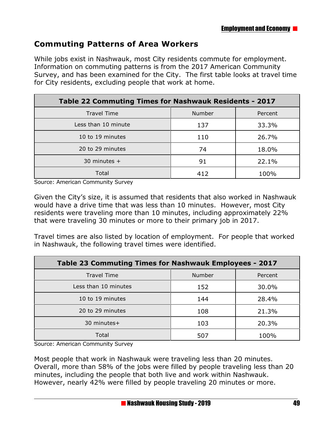# **Commuting Patterns of Area Workers**

While jobs exist in Nashwauk, most City residents commute for employment. Information on commuting patterns is from the 2017 American Community Survey, and has been examined for the City. The first table looks at travel time for City residents, excluding people that work at home.

| Table 22 Commuting Times for Nashwauk Residents - 2017 |        |         |  |  |  |
|--------------------------------------------------------|--------|---------|--|--|--|
| <b>Travel Time</b>                                     | Number | Percent |  |  |  |
| Less than 10 minute                                    | 137    | 33.3%   |  |  |  |
| 10 to 19 minutes                                       | 110    | 26.7%   |  |  |  |
| 20 to 29 minutes                                       | 74     | 18.0%   |  |  |  |
| 30 minutes $+$                                         | 91     | 22.1%   |  |  |  |
| Total                                                  | 412    | 100%    |  |  |  |

Source: American Community Survey

Given the City's size, it is assumed that residents that also worked in Nashwauk would have a drive time that was less than 10 minutes. However, most City residents were traveling more than 10 minutes, including approximately 22% that were traveling 30 minutes or more to their primary job in 2017.

Travel times are also listed by location of employment. For people that worked in Nashwauk, the following travel times were identified.

| Table 23 Commuting Times for Nashwauk Employees - 2017 |        |         |  |  |  |
|--------------------------------------------------------|--------|---------|--|--|--|
| <b>Travel Time</b>                                     | Number | Percent |  |  |  |
| Less than 10 minutes                                   | 152    | 30.0%   |  |  |  |
| 10 to 19 minutes                                       | 144    | 28.4%   |  |  |  |
| 20 to 29 minutes                                       | 108    | 21.3%   |  |  |  |
| 30 minutes+                                            | 103    | 20.3%   |  |  |  |
| Total                                                  | 507    | 100%    |  |  |  |

Source: American Community Survey

Most people that work in Nashwauk were traveling less than 20 minutes. Overall, more than 58% of the jobs were filled by people traveling less than 20 minutes, including the people that both live and work within Nashwauk. However, nearly 42% were filled by people traveling 20 minutes or more.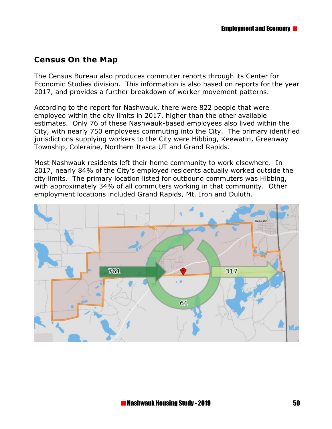# **Census On the Map**

The Census Bureau also produces commuter reports through its Center for Economic Studies division. This information is also based on reports for the year 2017, and provides a further breakdown of worker movement patterns.

According to the report for Nashwauk, there were 822 people that were employed within the city limits in 2017, higher than the other available estimates. Only 76 of these Nashwauk-based employees also lived within the City, with nearly 750 employees commuting into the City. The primary identified jurisdictions supplying workers to the City were Hibbing, Keewatin, Greenway Township, Coleraine, Northern Itasca UT and Grand Rapids.

Most Nashwauk residents left their home community to work elsewhere. In 2017, nearly 84% of the City's employed residents actually worked outside the city limits. The primary location listed for outbound commuters was Hibbing, with approximately 34% of all commuters working in that community. Other employment locations included Grand Rapids, Mt. Iron and Duluth.

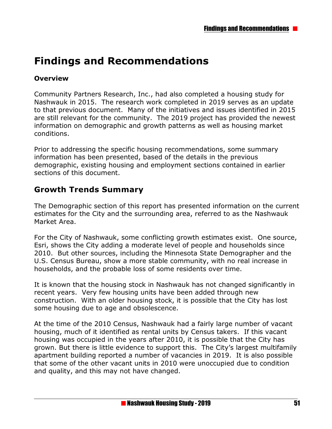# **Findings and Recommendations**

#### **Overview**

Community Partners Research, Inc., had also completed a housing study for Nashwauk in 2015. The research work completed in 2019 serves as an update to that previous document. Many of the initiatives and issues identified in 2015 are still relevant for the community. The 2019 project has provided the newest information on demographic and growth patterns as well as housing market conditions.

Prior to addressing the specific housing recommendations, some summary information has been presented, based of the details in the previous demographic, existing housing and employment sections contained in earlier sections of this document.

### **Growth Trends Summary**

The Demographic section of this report has presented information on the current estimates for the City and the surrounding area, referred to as the Nashwauk Market Area.

For the City of Nashwauk, some conflicting growth estimates exist. One source, Esri, shows the City adding a moderate level of people and households since 2010. But other sources, including the Minnesota State Demographer and the U.S. Census Bureau, show a more stable community, with no real increase in households, and the probable loss of some residents over time.

It is known that the housing stock in Nashwauk has not changed significantly in recent years. Very few housing units have been added through new construction. With an older housing stock, it is possible that the City has lost some housing due to age and obsolescence.

At the time of the 2010 Census, Nashwauk had a fairly large number of vacant housing, much of it identified as rental units by Census takers. If this vacant housing was occupied in the years after 2010, it is possible that the City has grown. But there is little evidence to support this. The City's largest multifamily apartment building reported a number of vacancies in 2019. It is also possible that some of the other vacant units in 2010 were unoccupied due to condition and quality, and this may not have changed.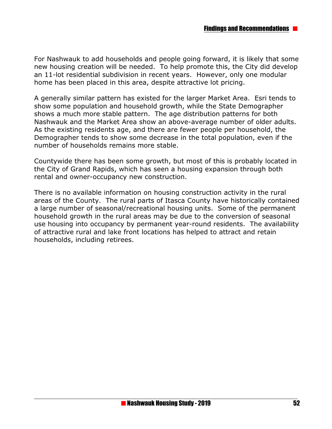For Nashwauk to add households and people going forward, it is likely that some new housing creation will be needed. To help promote this, the City did develop an 11-lot residential subdivision in recent years. However, only one modular home has been placed in this area, despite attractive lot pricing.

A generally similar pattern has existed for the larger Market Area. Esri tends to show some population and household growth, while the State Demographer shows a much more stable pattern. The age distribution patterns for both Nashwauk and the Market Area show an above-average number of older adults. As the existing residents age, and there are fewer people per household, the Demographer tends to show some decrease in the total population, even if the number of households remains more stable.

Countywide there has been some growth, but most of this is probably located in the City of Grand Rapids, which has seen a housing expansion through both rental and owner-occupancy new construction.

There is no available information on housing construction activity in the rural areas of the County. The rural parts of Itasca County have historically contained a large number of seasonal/recreational housing units. Some of the permanent household growth in the rural areas may be due to the conversion of seasonal use housing into occupancy by permanent year-round residents. The availability of attractive rural and lake front locations has helped to attract and retain households, including retirees.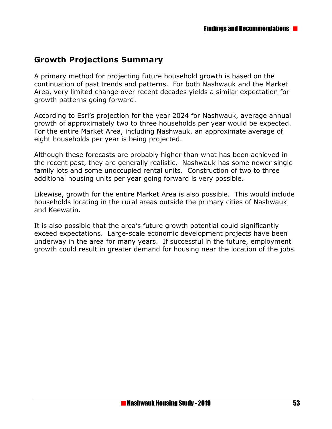# **Growth Projections Summary**

A primary method for projecting future household growth is based on the continuation of past trends and patterns. For both Nashwauk and the Market Area, very limited change over recent decades yields a similar expectation for growth patterns going forward.

According to Esri's projection for the year 2024 for Nashwauk, average annual growth of approximately two to three households per year would be expected. For the entire Market Area, including Nashwauk, an approximate average of eight households per year is being projected.

Although these forecasts are probably higher than what has been achieved in the recent past, they are generally realistic. Nashwauk has some newer single family lots and some unoccupied rental units. Construction of two to three additional housing units per year going forward is very possible.

Likewise, growth for the entire Market Area is also possible. This would include households locating in the rural areas outside the primary cities of Nashwauk and Keewatin.

It is also possible that the area's future growth potential could significantly exceed expectations. Large-scale economic development projects have been underway in the area for many years. If successful in the future, employment growth could result in greater demand for housing near the location of the jobs.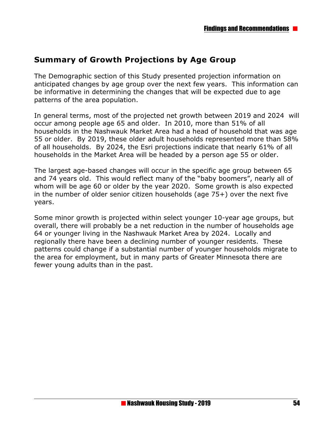### **Summary of Growth Projections by Age Group**

The Demographic section of this Study presented projection information on anticipated changes by age group over the next few years. This information can be informative in determining the changes that will be expected due to age patterns of the area population.

In general terms, most of the projected net growth between 2019 and 2024 will occur among people age 65 and older. In 2010, more than 51% of all households in the Nashwauk Market Area had a head of household that was age 55 or older. By 2019, these older adult households represented more than 58% of all households. By 2024, the Esri projections indicate that nearly 61% of all households in the Market Area will be headed by a person age 55 or older.

The largest age-based changes will occur in the specific age group between 65 and 74 years old. This would reflect many of the "baby boomers", nearly all of whom will be age 60 or older by the year 2020. Some growth is also expected in the number of older senior citizen households (age 75+) over the next five years.

Some minor growth is projected within select younger 10-year age groups, but overall, there will probably be a net reduction in the number of households age 64 or younger living in the Nashwauk Market Area by 2024. Locally and regionally there have been a declining number of younger residents. These patterns could change if a substantial number of younger households migrate to the area for employment, but in many parts of Greater Minnesota there are fewer young adults than in the past.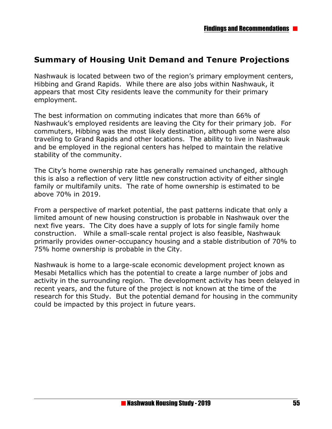### **Summary of Housing Unit Demand and Tenure Projections**

Nashwauk is located between two of the region's primary employment centers, Hibbing and Grand Rapids. While there are also jobs within Nashwauk, it appears that most City residents leave the community for their primary employment.

The best information on commuting indicates that more than 66% of Nashwauk's employed residents are leaving the City for their primary job. For commuters, Hibbing was the most likely destination, although some were also traveling to Grand Rapids and other locations. The ability to live in Nashwauk and be employed in the regional centers has helped to maintain the relative stability of the community.

The City's home ownership rate has generally remained unchanged, although this is also a reflection of very little new construction activity of either single family or multifamily units. The rate of home ownership is estimated to be above 70% in 2019.

From a perspective of market potential, the past patterns indicate that only a limited amount of new housing construction is probable in Nashwauk over the next five years. The City does have a supply of lots for single family home construction. While a small-scale rental project is also feasible, Nashwauk primarily provides owner-occupancy housing and a stable distribution of 70% to 75% home ownership is probable in the City.

Nashwauk is home to a large-scale economic development project known as Mesabi Metallics which has the potential to create a large number of jobs and activity in the surrounding region. The development activity has been delayed in recent years, and the future of the project is not known at the time of the research for this Study. But the potential demand for housing in the community could be impacted by this project in future years.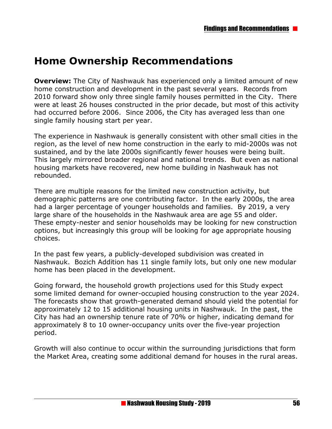# **Home Ownership Recommendations**

**Overview:** The City of Nashwauk has experienced only a limited amount of new home construction and development in the past several years. Records from 2010 forward show only three single family houses permitted in the City. There were at least 26 houses constructed in the prior decade, but most of this activity had occurred before 2006. Since 2006, the City has averaged less than one single family housing start per year.

The experience in Nashwauk is generally consistent with other small cities in the region, as the level of new home construction in the early to mid-2000s was not sustained, and by the late 2000s significantly fewer houses were being built. This largely mirrored broader regional and national trends. But even as national housing markets have recovered, new home building in Nashwauk has not rebounded.

There are multiple reasons for the limited new construction activity, but demographic patterns are one contributing factor. In the early 2000s, the area had a larger percentage of younger households and families. By 2019, a very large share of the households in the Nashwauk area are age 55 and older. These empty-nester and senior households may be looking for new construction options, but increasingly this group will be looking for age appropriate housing choices.

In the past few years, a publicly-developed subdivision was created in Nashwauk. Bozich Addition has 11 single family lots, but only one new modular home has been placed in the development.

Going forward, the household growth projections used for this Study expect some limited demand for owner-occupied housing construction to the year 2024. The forecasts show that growth-generated demand should yield the potential for approximately 12 to 15 additional housing units in Nashwauk. In the past, the City has had an ownership tenure rate of 70% or higher, indicating demand for approximately 8 to 10 owner-occupancy units over the five-year projection period.

Growth will also continue to occur within the surrounding jurisdictions that form the Market Area, creating some additional demand for houses in the rural areas.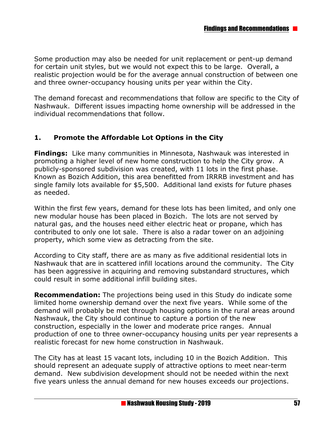Some production may also be needed for unit replacement or pent-up demand for certain unit styles, but we would not expect this to be large. Overall, a realistic projection would be for the average annual construction of between one and three owner-occupancy housing units per year within the City.

The demand forecast and recommendations that follow are specific to the City of Nashwauk. Different issues impacting home ownership will be addressed in the individual recommendations that follow.

#### **1. Promote the Affordable Lot Options in the City**

**Findings:** Like many communities in Minnesota, Nashwauk was interested in promoting a higher level of new home construction to help the City grow. A publicly-sponsored subdivision was created, with 11 lots in the first phase. Known as Bozich Addition, this area benefitted from IRRRB investment and has single family lots available for \$5,500. Additional land exists for future phases as needed.

Within the first few years, demand for these lots has been limited, and only one new modular house has been placed in Bozich. The lots are not served by natural gas, and the houses need either electric heat or propane, which has contributed to only one lot sale. There is also a radar tower on an adjoining property, which some view as detracting from the site.

According to City staff, there are as many as five additional residential lots in Nashwauk that are in scattered infill locations around the community. The City has been aggressive in acquiring and removing substandard structures, which could result in some additional infill building sites.

**Recommendation:** The projections being used in this Study do indicate some limited home ownership demand over the next five years. While some of the demand will probably be met through housing options in the rural areas around Nashwauk, the City should continue to capture a portion of the new construction, especially in the lower and moderate price ranges. Annual production of one to three owner-occupancy housing units per year represents a realistic forecast for new home construction in Nashwauk.

The City has at least 15 vacant lots, including 10 in the Bozich Addition. This should represent an adequate supply of attractive options to meet near-term demand. New subdivision development should not be needed within the next five years unless the annual demand for new houses exceeds our projections.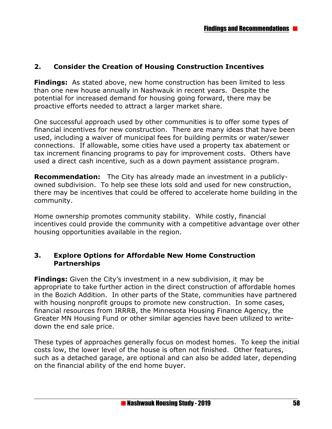#### **2. Consider the Creation of Housing Construction Incentives**

**Findings:** As stated above, new home construction has been limited to less than one new house annually in Nashwauk in recent years. Despite the potential for increased demand for housing going forward, there may be proactive efforts needed to attract a larger market share.

One successful approach used by other communities is to offer some types of financial incentives for new construction. There are many ideas that have been used, including a waiver of municipal fees for building permits or water/sewer connections. If allowable, some cities have used a property tax abatement or tax increment financing programs to pay for improvement costs. Others have used a direct cash incentive, such as a down payment assistance program.

**Recommendation:** The City has already made an investment in a publiclyowned subdivision. To help see these lots sold and used for new construction, there may be incentives that could be offered to accelerate home building in the community.

Home ownership promotes community stability. While costly, financial incentives could provide the community with a competitive advantage over other housing opportunities available in the region.

#### **3. Explore Options for Affordable New Home Construction Partnerships**

**Findings:** Given the City's investment in a new subdivision, it may be appropriate to take further action in the direct construction of affordable homes in the Bozich Addition. In other parts of the State, communities have partnered with housing nonprofit groups to promote new construction. In some cases, financial resources from IRRRB, the Minnesota Housing Finance Agency, the Greater MN Housing Fund or other similar agencies have been utilized to writedown the end sale price.

These types of approaches generally focus on modest homes. To keep the initial costs low, the lower level of the house is often not finished. Other features, such as a detached garage, are optional and can also be added later, depending on the financial ability of the end home buyer.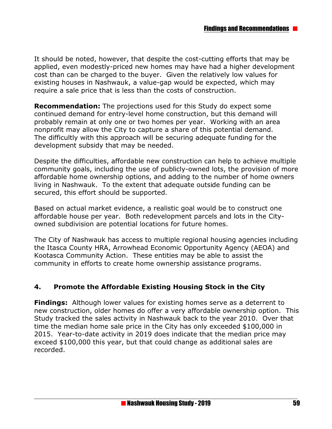It should be noted, however, that despite the cost-cutting efforts that may be applied, even modestly-priced new homes may have had a higher development cost than can be charged to the buyer. Given the relatively low values for existing houses in Nashwauk, a value-gap would be expected, which may require a sale price that is less than the costs of construction.

**Recommendation:** The projections used for this Study do expect some continued demand for entry-level home construction, but this demand will probably remain at only one or two homes per year. Working with an area nonprofit may allow the City to capture a share of this potential demand. The difficultly with this approach will be securing adequate funding for the development subsidy that may be needed.

Despite the difficulties, affordable new construction can help to achieve multiple community goals, including the use of publicly-owned lots, the provision of more affordable home ownership options, and adding to the number of home owners living in Nashwauk. To the extent that adequate outside funding can be secured, this effort should be supported.

Based on actual market evidence, a realistic goal would be to construct one affordable house per year. Both redevelopment parcels and lots in the Cityowned subdivision are potential locations for future homes.

The City of Nashwauk has access to multiple regional housing agencies including the Itasca County HRA, Arrowhead Economic Opportunity Agency (AEOA) and Kootasca Community Action. These entities may be able to assist the community in efforts to create home ownership assistance programs.

#### **4. Promote the Affordable Existing Housing Stock in the City**

**Findings:** Although lower values for existing homes serve as a deterrent to new construction, older homes do offer a very affordable ownership option. This Study tracked the sales activity in Nashwauk back to the year 2010. Over that time the median home sale price in the City has only exceeded \$100,000 in 2015. Year-to-date activity in 2019 does indicate that the median price may exceed \$100,000 this year, but that could change as additional sales are recorded.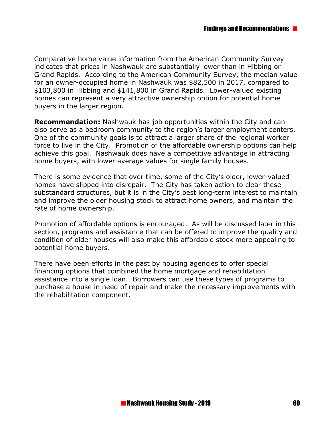Comparative home value information from the American Community Survey indicates that prices in Nashwauk are substantially lower than in Hibbing or Grand Rapids. According to the American Community Survey, the median value for an owner-occupied home in Nashwauk was \$82,500 in 2017, compared to \$103,800 in Hibbing and \$141,800 in Grand Rapids. Lower-valued existing homes can represent a very attractive ownership option for potential home buyers in the larger region.

**Recommendation:** Nashwauk has job opportunities within the City and can also serve as a bedroom community to the region's larger employment centers. One of the community goals is to attract a larger share of the regional worker force to live in the City. Promotion of the affordable ownership options can help achieve this goal. Nashwauk does have a competitive advantage in attracting home buyers, with lower average values for single family houses.

There is some evidence that over time, some of the City's older, lower-valued homes have slipped into disrepair. The City has taken action to clear these substandard structures, but it is in the City's best long-term interest to maintain and improve the older housing stock to attract home owners, and maintain the rate of home ownership.

Promotion of affordable options is encouraged. As will be discussed later in this section, programs and assistance that can be offered to improve the quality and condition of older houses will also make this affordable stock more appealing to potential home buyers.

There have been efforts in the past by housing agencies to offer special financing options that combined the home mortgage and rehabilitation assistance into a single loan. Borrowers can use these types of programs to purchase a house in need of repair and make the necessary improvements with the rehabilitation component.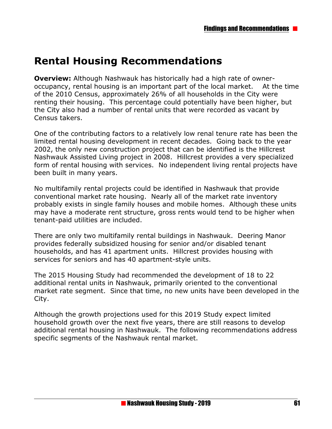# **Rental Housing Recommendations**

**Overview:** Although Nashwauk has historically had a high rate of owneroccupancy, rental housing is an important part of the local market. At the time of the 2010 Census, approximately 26% of all households in the City were renting their housing. This percentage could potentially have been higher, but the City also had a number of rental units that were recorded as vacant by Census takers.

One of the contributing factors to a relatively low renal tenure rate has been the limited rental housing development in recent decades. Going back to the year 2002, the only new construction project that can be identified is the Hillcrest Nashwauk Assisted Living project in 2008. Hillcrest provides a very specialized form of rental housing with services. No independent living rental projects have been built in many years.

No multifamily rental projects could be identified in Nashwauk that provide conventional market rate housing. Nearly all of the market rate inventory probably exists in single family houses and mobile homes. Although these units may have a moderate rent structure, gross rents would tend to be higher when tenant-paid utilities are included.

There are only two multifamily rental buildings in Nashwauk. Deering Manor provides federally subsidized housing for senior and/or disabled tenant households, and has 41 apartment units. Hillcrest provides housing with services for seniors and has 40 apartment-style units.

The 2015 Housing Study had recommended the development of 18 to 22 additional rental units in Nashwauk, primarily oriented to the conventional market rate segment. Since that time, no new units have been developed in the City.

Although the growth projections used for this 2019 Study expect limited household growth over the next five years, there are still reasons to develop additional rental housing in Nashwauk. The following recommendations address specific segments of the Nashwauk rental market.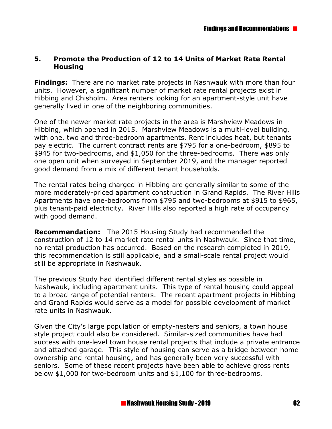#### **5. Promote the Production of 12 to 14 Units of Market Rate Rental Housing**

**Findings:** There are no market rate projects in Nashwauk with more than four units. However, a significant number of market rate rental projects exist in Hibbing and Chisholm. Area renters looking for an apartment-style unit have generally lived in one of the neighboring communities.

One of the newer market rate projects in the area is Marshview Meadows in Hibbing, which opened in 2015. Marshview Meadows is a multi-level building, with one, two and three-bedroom apartments. Rent includes heat, but tenants pay electric. The current contract rents are \$795 for a one-bedroom, \$895 to \$945 for two-bedrooms, and \$1,050 for the three-bedrooms. There was only one open unit when surveyed in September 2019, and the manager reported good demand from a mix of different tenant households.

The rental rates being charged in Hibbing are generally similar to some of the more moderately-priced apartment construction in Grand Rapids. The River Hills Apartments have one-bedrooms from \$795 and two-bedrooms at \$915 to \$965, plus tenant-paid electricity. River Hills also reported a high rate of occupancy with good demand.

**Recommendation:** The 2015 Housing Study had recommended the construction of 12 to 14 market rate rental units in Nashwauk. Since that time, no rental production has occurred. Based on the research completed in 2019, this recommendation is still applicable, and a small-scale rental project would still be appropriate in Nashwauk.

The previous Study had identified different rental styles as possible in Nashwauk, including apartment units. This type of rental housing could appeal to a broad range of potential renters. The recent apartment projects in Hibbing and Grand Rapids would serve as a model for possible development of market rate units in Nashwauk.

Given the City's large population of empty-nesters and seniors, a town house style project could also be considered. Similar-sized communities have had success with one-level town house rental projects that include a private entrance and attached garage. This style of housing can serve as a bridge between home ownership and rental housing, and has generally been very successful with seniors. Some of these recent projects have been able to achieve gross rents below \$1,000 for two-bedroom units and \$1,100 for three-bedrooms.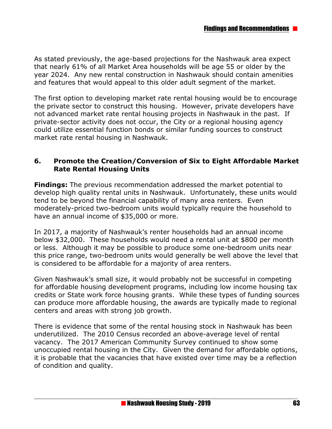As stated previously, the age-based projections for the Nashwauk area expect that nearly 61% of all Market Area households will be age 55 or older by the year 2024. Any new rental construction in Nashwauk should contain amenities and features that would appeal to this older adult segment of the market.

The first option to developing market rate rental housing would be to encourage the private sector to construct this housing. However, private developers have not advanced market rate rental housing projects in Nashwauk in the past. If private-sector activity does not occur, the City or a regional housing agency could utilize essential function bonds or similar funding sources to construct market rate rental housing in Nashwauk.

#### **6. Promote the Creation/Conversion of Six to Eight Affordable Market Rate Rental Housing Units**

**Findings:** The previous recommendation addressed the market potential to develop high quality rental units in Nashwauk. Unfortunately, these units would tend to be beyond the financial capability of many area renters. Even moderately-priced two-bedroom units would typically require the household to have an annual income of \$35,000 or more.

In 2017, a majority of Nashwauk's renter households had an annual income below \$32,000. These households would need a rental unit at \$800 per month or less. Although it may be possible to produce some one-bedroom units near this price range, two-bedroom units would generally be well above the level that is considered to be affordable for a majority of area renters.

Given Nashwauk's small size, it would probably not be successful in competing for affordable housing development programs, including low income housing tax credits or State work force housing grants. While these types of funding sources can produce more affordable housing, the awards are typically made to regional centers and areas with strong job growth.

There is evidence that some of the rental housing stock in Nashwauk has been underutilized. The 2010 Census recorded an above-average level of rental vacancy. The 2017 American Community Survey continued to show some unoccupied rental housing in the City. Given the demand for affordable options, it is probable that the vacancies that have existed over time may be a reflection of condition and quality.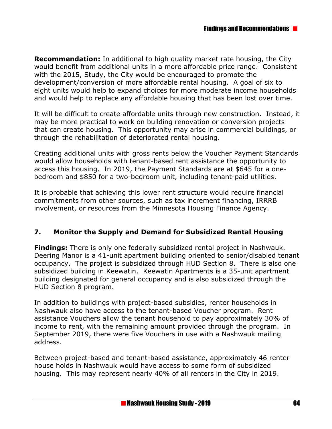**Recommendation:** In additional to high quality market rate housing, the City would benefit from additional units in a more affordable price range. Consistent with the 2015, Study, the City would be encouraged to promote the development/conversion of more affordable rental housing. A goal of six to eight units would help to expand choices for more moderate income households and would help to replace any affordable housing that has been lost over time.

It will be difficult to create affordable units through new construction. Instead, it may be more practical to work on building renovation or conversion projects that can create housing. This opportunity may arise in commercial buildings, or through the rehabilitation of deteriorated rental housing.

Creating additional units with gross rents below the Voucher Payment Standards would allow households with tenant-based rent assistance the opportunity to access this housing. In 2019, the Payment Standards are at \$645 for a onebedroom and \$850 for a two-bedroom unit, including tenant-paid utilities.

It is probable that achieving this lower rent structure would require financial commitments from other sources, such as tax increment financing, IRRRB involvement, or resources from the Minnesota Housing Finance Agency.

#### **7. Monitor the Supply and Demand for Subsidized Rental Housing**

**Findings:** There is only one federally subsidized rental project in Nashwauk. Deering Manor is a 41-unit apartment building oriented to senior/disabled tenant occupancy. The project is subsidized through HUD Section 8. There is also one subsidized building in Keewatin. Keewatin Apartments is a 35-unit apartment building designated for general occupancy and is also subsidized through the HUD Section 8 program.

In addition to buildings with project-based subsidies, renter households in Nashwauk also have access to the tenant-based Voucher program. Rent assistance Vouchers allow the tenant household to pay approximately 30% of income to rent, with the remaining amount provided through the program. In September 2019, there were five Vouchers in use with a Nashwauk mailing address.

Between project-based and tenant-based assistance, approximately 46 renter house holds in Nashwauk would have access to some form of subsidized housing. This may represent nearly 40% of all renters in the City in 2019.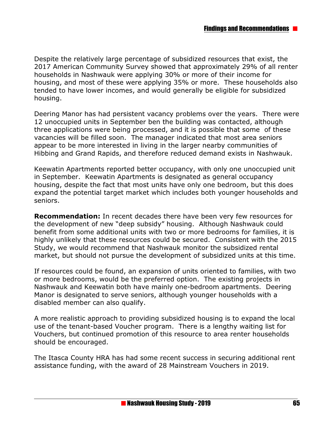Despite the relatively large percentage of subsidized resources that exist, the 2017 American Community Survey showed that approximately 29% of all renter households in Nashwauk were applying 30% or more of their income for housing, and most of these were applying 35% or more. These households also tended to have lower incomes, and would generally be eligible for subsidized housing.

Deering Manor has had persistent vacancy problems over the years. There were 12 unoccupied units in September ben the building was contacted, although three applications were being processed, and it is possible that some of these vacancies will be filled soon. The manager indicated that most area seniors appear to be more interested in living in the larger nearby communities of Hibbing and Grand Rapids, and therefore reduced demand exists in Nashwauk.

Keewatin Apartments reported better occupancy, with only one unoccupied unit in September. Keewatin Apartments is designated as general occupancy housing, despite the fact that most units have only one bedroom, but this does expand the potential target market which includes both younger households and seniors.

**Recommendation:** In recent decades there have been very few resources for the development of new "deep subsidy" housing. Although Nashwauk could benefit from some additional units with two or more bedrooms for families, it is highly unlikely that these resources could be secured. Consistent with the 2015 Study, we would recommend that Nashwauk monitor the subsidized rental market, but should not pursue the development of subsidized units at this time.

If resources could be found, an expansion of units oriented to families, with two or more bedrooms, would be the preferred option. The existing projects in Nashwauk and Keewatin both have mainly one-bedroom apartments. Deering Manor is designated to serve seniors, although younger households with a disabled member can also qualify.

A more realistic approach to providing subsidized housing is to expand the local use of the tenant-based Voucher program. There is a lengthy waiting list for Vouchers, but continued promotion of this resource to area renter households should be encouraged.

The Itasca County HRA has had some recent success in securing additional rent assistance funding, with the award of 28 Mainstream Vouchers in 2019.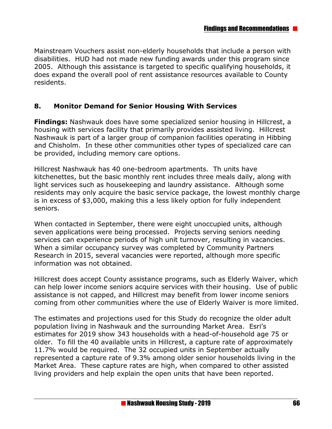Mainstream Vouchers assist non-elderly households that include a person with disabilities. HUD had not made new funding awards under this program since 2005. Although this assistance is targeted to specific qualifying households, it does expand the overall pool of rent assistance resources available to County residents.

#### **8. Monitor Demand for Senior Housing With Services**

**Findings:** Nashwauk does have some specialized senior housing in Hillcrest, a housing with services facility that primarily provides assisted living. Hillcrest Nashwauk is part of a larger group of companion facilities operating in Hibbing and Chisholm. In these other communities other types of specialized care can be provided, including memory care options.

Hillcrest Nashwauk has 40 one-bedroom apartments. Th units have kitchenettes, but the basic monthly rent includes three meals daily, along with light services such as housekeeping and laundry assistance. Although some residents may only acquire the basic service package, the lowest monthly charge is in excess of \$3,000, making this a less likely option for fully independent seniors.

When contacted in September, there were eight unoccupied units, although seven applications were being processed. Projects serving seniors needing services can experience periods of high unit turnover, resulting in vacancies. When a similar occupancy survey was completed by Community Partners Research in 2015, several vacancies were reported, although more specific information was not obtained.

Hillcrest does accept County assistance programs, such as Elderly Waiver, which can help lower income seniors acquire services with their housing. Use of public assistance is not capped, and Hillcrest may benefit from lower income seniors coming from other communities where the use of Elderly Waiver is more limited.

The estimates and projections used for this Study do recognize the older adult population living in Nashwauk and the surrounding Market Area. Esri's estimates for 2019 show 343 households with a head-of-household age 75 or older. To fill the 40 available units in Hillcrest, a capture rate of approximately 11.7% would be required. The 32 occupied units in September actually represented a capture rate of 9.3% among older senior households living in the Market Area. These capture rates are high, when compared to other assisted living providers and help explain the open units that have been reported.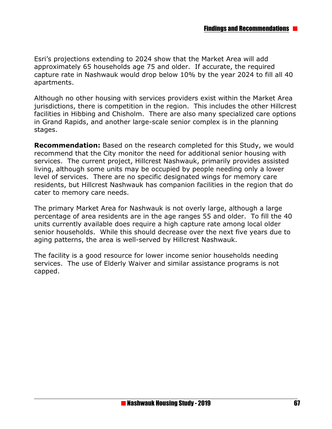Esri's projections extending to 2024 show that the Market Area will add approximately 65 households age 75 and older. If accurate, the required capture rate in Nashwauk would drop below 10% by the year 2024 to fill all 40 apartments.

Although no other housing with services providers exist within the Market Area jurisdictions, there is competition in the region. This includes the other Hillcrest facilities in Hibbing and Chisholm. There are also many specialized care options in Grand Rapids, and another large-scale senior complex is in the planning stages.

**Recommendation:** Based on the research completed for this Study, we would recommend that the City monitor the need for additional senior housing with services. The current project, Hillcrest Nashwauk, primarily provides assisted living, although some units may be occupied by people needing only a lower level of services. There are no specific designated wings for memory care residents, but Hillcrest Nashwauk has companion facilities in the region that do cater to memory care needs.

The primary Market Area for Nashwauk is not overly large, although a large percentage of area residents are in the age ranges 55 and older. To fill the 40 units currently available does require a high capture rate among local older senior households. While this should decrease over the next five years due to aging patterns, the area is well-served by Hillcrest Nashwauk.

The facility is a good resource for lower income senior households needing services. The use of Elderly Waiver and similar assistance programs is not capped.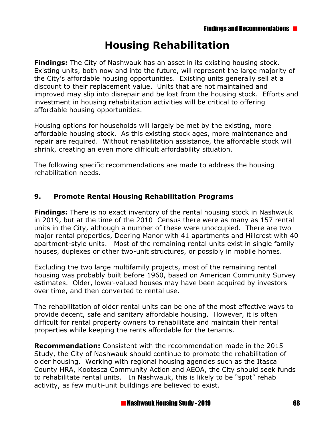# **Housing Rehabilitation**

**Findings:** The City of Nashwauk has an asset in its existing housing stock. Existing units, both now and into the future, will represent the large majority of the City's affordable housing opportunities. Existing units generally sell at a discount to their replacement value. Units that are not maintained and improved may slip into disrepair and be lost from the housing stock. Efforts and investment in housing rehabilitation activities will be critical to offering affordable housing opportunities.

Housing options for households will largely be met by the existing, more affordable housing stock. As this existing stock ages, more maintenance and repair are required. Without rehabilitation assistance, the affordable stock will shrink, creating an even more difficult affordability situation.

The following specific recommendations are made to address the housing rehabilitation needs.

#### **9. Promote Rental Housing Rehabilitation Programs**

**Findings:** There is no exact inventory of the rental housing stock in Nashwauk in 2019, but at the time of the 2010 Census there were as many as 157 rental units in the City, although a number of these were unoccupied. There are two major rental properties, Deering Manor with 41 apartments and Hillcrest with 40 apartment-style units. Most of the remaining rental units exist in single family houses, duplexes or other two-unit structures, or possibly in mobile homes.

Excluding the two large multifamily projects, most of the remaining rental housing was probably built before 1960, based on American Community Survey estimates. Older, lower-valued houses may have been acquired by investors over time, and then converted to rental use.

The rehabilitation of older rental units can be one of the most effective ways to provide decent, safe and sanitary affordable housing. However, it is often difficult for rental property owners to rehabilitate and maintain their rental properties while keeping the rents affordable for the tenants.

**Recommendation:** Consistent with the recommendation made in the 2015 Study, the City of Nashwauk should continue to promote the rehabilitation of older housing. Working with regional housing agencies such as the Itasca County HRA, Kootasca Community Action and AEOA, the City should seek funds to rehabilitate rental units. In Nashwauk, this is likely to be "spot" rehab activity, as few multi-unit buildings are believed to exist.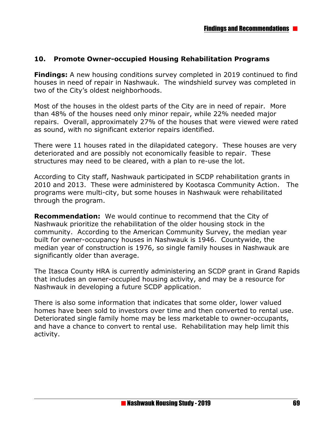#### **10. Promote Owner-occupied Housing Rehabilitation Programs**

**Findings:** A new housing conditions survey completed in 2019 continued to find houses in need of repair in Nashwauk. The windshield survey was completed in two of the City's oldest neighborhoods.

Most of the houses in the oldest parts of the City are in need of repair. More than 48% of the houses need only minor repair, while 22% needed major repairs. Overall, approximately 27% of the houses that were viewed were rated as sound, with no significant exterior repairs identified.

There were 11 houses rated in the dilapidated category. These houses are very deteriorated and are possibly not economically feasible to repair. These structures may need to be cleared, with a plan to re-use the lot.

According to City staff, Nashwauk participated in SCDP rehabilitation grants in 2010 and 2013. These were administered by Kootasca Community Action. The programs were multi-city, but some houses in Nashwauk were rehabilitated through the program.

**Recommendation:** We would continue to recommend that the City of Nashwauk prioritize the rehabilitation of the older housing stock in the community. According to the American Community Survey, the median year built for owner-occupancy houses in Nashwauk is 1946. Countywide, the median year of construction is 1976, so single family houses in Nashwauk are significantly older than average.

The Itasca County HRA is currently administering an SCDP grant in Grand Rapids that includes an owner-occupied housing activity, and may be a resource for Nashwauk in developing a future SCDP application.

There is also some information that indicates that some older, lower valued homes have been sold to investors over time and then converted to rental use. Deteriorated single family home may be less marketable to owner-occupants, and have a chance to convert to rental use. Rehabilitation may help limit this activity.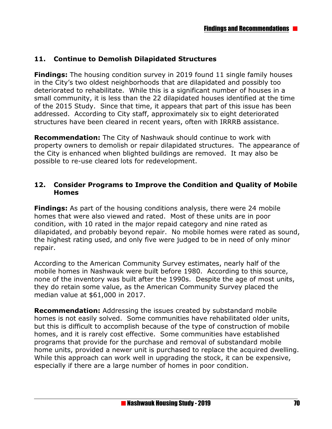#### **11. Continue to Demolish Dilapidated Structures**

**Findings:** The housing condition survey in 2019 found 11 single family houses in the City's two oldest neighborhoods that are dilapidated and possibly too deteriorated to rehabilitate. While this is a significant number of houses in a small community, it is less than the 22 dilapidated houses identified at the time of the 2015 Study. Since that time, it appears that part of this issue has been addressed. According to City staff, approximately six to eight deteriorated structures have been cleared in recent years, often with IRRRB assistance.

**Recommendation:** The City of Nashwauk should continue to work with property owners to demolish or repair dilapidated structures. The appearance of the City is enhanced when blighted buildings are removed. It may also be possible to re-use cleared lots for redevelopment.

#### **12. Consider Programs to Improve the Condition and Quality of Mobile Homes**

**Findings:** As part of the housing conditions analysis, there were 24 mobile homes that were also viewed and rated. Most of these units are in poor condition, with 10 rated in the major repaid category and nine rated as dilapidated, and probably beyond repair. No mobile homes were rated as sound, the highest rating used, and only five were judged to be in need of only minor repair.

According to the American Community Survey estimates, nearly half of the mobile homes in Nashwauk were built before 1980. According to this source, none of the inventory was built after the 1990s. Despite the age of most units, they do retain some value, as the American Community Survey placed the median value at \$61,000 in 2017.

**Recommendation:** Addressing the issues created by substandard mobile homes is not easily solved. Some communities have rehabilitated older units, but this is difficult to accomplish because of the type of construction of mobile homes, and it is rarely cost effective. Some communities have established programs that provide for the purchase and removal of substandard mobile home units, provided a newer unit is purchased to replace the acquired dwelling. While this approach can work well in upgrading the stock, it can be expensive, especially if there are a large number of homes in poor condition.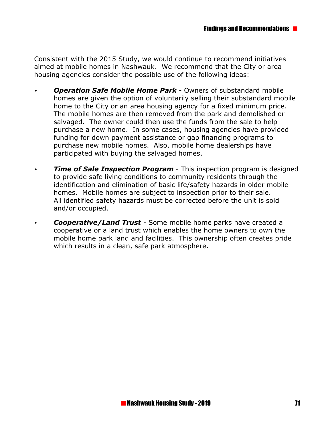Consistent with the 2015 Study, we would continue to recommend initiatives aimed at mobile homes in Nashwauk. We recommend that the City or area housing agencies consider the possible use of the following ideas:

- **Operation Safe Mobile Home Park** Owners of substandard mobile homes are given the option of voluntarily selling their substandard mobile home to the City or an area housing agency for a fixed minimum price. The mobile homes are then removed from the park and demolished or salvaged. The owner could then use the funds from the sale to help purchase a new home. In some cases, housing agencies have provided funding for down payment assistance or gap financing programs to purchase new mobile homes. Also, mobile home dealerships have participated with buying the salvaged homes.
- **Fime of Sale Inspection Program** This inspection program is designed to provide safe living conditions to community residents through the identification and elimination of basic life/safety hazards in older mobile homes. Mobile homes are subject to inspection prior to their sale. All identified safety hazards must be corrected before the unit is sold and/or occupied.
- **Cooperative/Land Trust** Some mobile home parks have created a cooperative or a land trust which enables the home owners to own the mobile home park land and facilities. This ownership often creates pride which results in a clean, safe park atmosphere.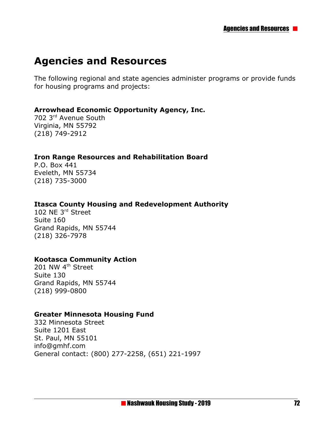# **Agencies and Resources**

The following regional and state agencies administer programs or provide funds for housing programs and projects:

#### **Arrowhead Economic Opportunity Agency, Inc.**

702 3rd Avenue South Virginia, MN 55792 (218) 749-2912

# **Iron Range Resources and Rehabilitation Board**

P.O. Box 441 Eveleth, MN 55734 (218) 735-3000

# **Itasca County Housing and Redevelopment Authority**

102 NE 3rd Street Suite 160 Grand Rapids, MN 55744 (218) 326-7978

# **Kootasca Community Action**

201 NW 4<sup>th</sup> Street Suite 130 Grand Rapids, MN 55744 (218) 999-0800

# **Greater Minnesota Housing Fund**

332 Minnesota Street Suite 1201 East St. Paul, MN 55101 info@gmhf.com General contact: (800) 277-2258, (651) 221-1997